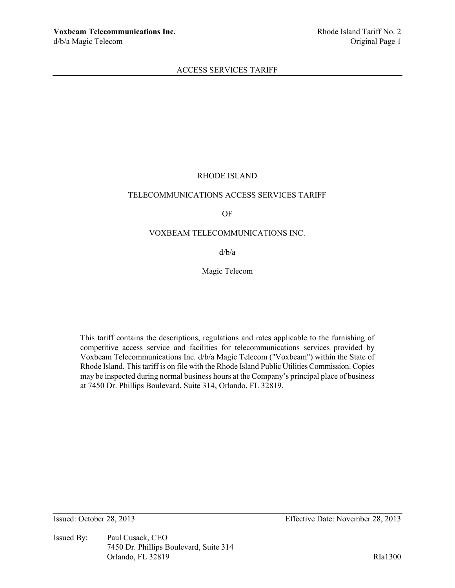## RHODE ISLAND

## TELECOMMUNICATIONS ACCESS SERVICES TARIFF

OF

### VOXBEAM TELECOMMUNICATIONS INC.

d/b/a

Magic Telecom

This tariff contains the descriptions, regulations and rates applicable to the furnishing of competitive access service and facilities for telecommunications services provided by Voxbeam Telecommunications Inc. d/b/a Magic Telecom ("Voxbeam") within the State of Rhode Island. This tariff is on file with the Rhode Island Public Utilities Commission. Copies may be inspected during normal business hours at the Company's principal place of business at 7450 Dr. Phillips Boulevard, Suite 314, Orlando, FL 32819.

Issued By: Paul Cusack, CEO 7450 Dr. Phillips Boulevard, Suite 314 Orlando, FL 32819 RIa1300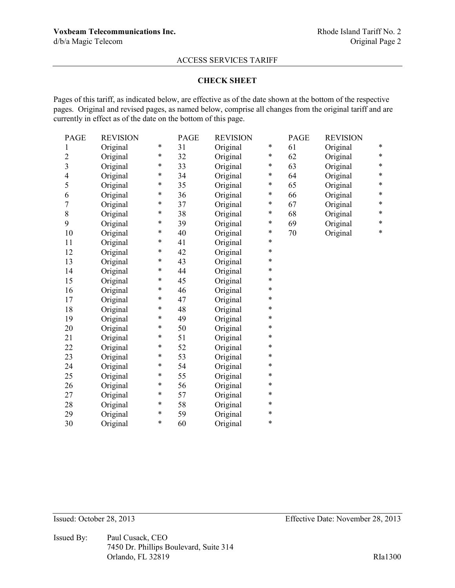#### **CHECK SHEET**

Pages of this tariff, as indicated below, are effective as of the date shown at the bottom of the respective pages. Original and revised pages, as named below, comprise all changes from the original tariff and are currently in effect as of the date on the bottom of this page.

| <b>PAGE</b>      | <b>REVISION</b> |   | <b>PAGE</b> | <b>REVISION</b> |        | <b>PAGE</b> | <b>REVISION</b> |        |
|------------------|-----------------|---|-------------|-----------------|--------|-------------|-----------------|--------|
| $\mathbf{1}$     | Original        | * | 31          | Original        | *      | 61          | Original        | *      |
| $\overline{2}$   | Original        | * | 32          | Original        | *      | 62          | Original        | $\ast$ |
| $\overline{3}$   | Original        | * | 33          | Original        | *      | 63          | Original        | *      |
| $\overline{4}$   | Original        | * | 34          | Original        | *      | 64          | Original        | *      |
| 5                | Original        | * | 35          | Original        | *      | 65          | Original        | *      |
| 6                | Original        | * | 36          | Original        | *      | 66          | Original        | *      |
| $\boldsymbol{7}$ | Original        | * | 37          | Original        | *      | 67          | Original        | $\ast$ |
| $\,$ $\,$        | Original        | * | 38          | Original        | *      | 68          | Original        | $\ast$ |
| 9                | Original        | * | 39          | Original        | $\ast$ | 69          | Original        | $\ast$ |
| 10               | Original        | * | 40          | Original        | *      | 70          | Original        | $\ast$ |
| 11               | Original        | * | 41          | Original        | *      |             |                 |        |
| 12               | Original        | * | 42          | Original        | $\ast$ |             |                 |        |
| 13               | Original        | * | 43          | Original        | *      |             |                 |        |
| 14               | Original        | * | 44          | Original        | *      |             |                 |        |
| 15               | Original        | * | 45          | Original        | *      |             |                 |        |
| 16               | Original        | * | 46          | Original        | $\ast$ |             |                 |        |
| 17               | Original        | * | 47          | Original        | *      |             |                 |        |
| 18               | Original        | * | 48          | Original        | *      |             |                 |        |
| 19               | Original        | * | 49          | Original        | *      |             |                 |        |
| 20               | Original        | * | 50          | Original        | *      |             |                 |        |
| 21               | Original        | * | 51          | Original        | *      |             |                 |        |
| 22               | Original        | * | 52          | Original        | *      |             |                 |        |
| 23               | Original        | * | 53          | Original        | *      |             |                 |        |
| 24               | Original        | * | 54          | Original        | *      |             |                 |        |
| 25               | Original        | * | 55          | Original        | *      |             |                 |        |
| 26               | Original        | * | 56          | Original        | $\ast$ |             |                 |        |
| 27               | Original        | * | 57          | Original        | *      |             |                 |        |
| 28               | Original        | * | 58          | Original        | *      |             |                 |        |
| 29               | Original        | * | 59          | Original        | $\ast$ |             |                 |        |
| 30               | Original        | * | 60          | Original        | $\ast$ |             |                 |        |

Issued By: Paul Cusack, CEO 7450 Dr. Phillips Boulevard, Suite 314 Orlando, FL 32819 RIa1300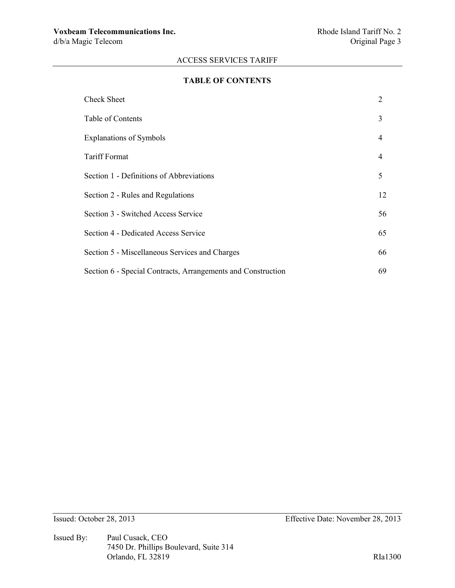#### **TABLE OF CONTENTS**

| <b>Check Sheet</b>                                           | 2              |
|--------------------------------------------------------------|----------------|
| Table of Contents                                            | 3              |
| <b>Explanations of Symbols</b>                               | $\overline{4}$ |
| <b>Tariff Format</b>                                         | $\overline{4}$ |
| Section 1 - Definitions of Abbreviations                     | 5              |
| Section 2 - Rules and Regulations                            | 12             |
| Section 3 - Switched Access Service                          | 56             |
| Section 4 - Dedicated Access Service                         | 65             |
| Section 5 - Miscellaneous Services and Charges               | 66             |
| Section 6 - Special Contracts, Arrangements and Construction | 69             |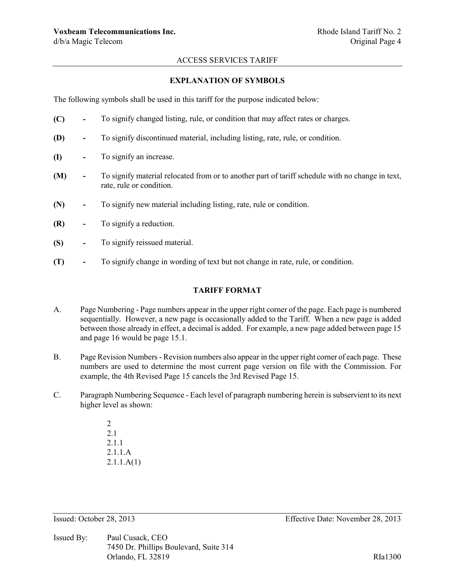#### **EXPLANATION OF SYMBOLS**

The following symbols shall be used in this tariff for the purpose indicated below:

- **(C) -** To signify changed listing, rule, or condition that may affect rates or charges.
- **(D) -** To signify discontinued material, including listing, rate, rule, or condition.
- **(I) -** To signify an increase.
- **(M) -** To signify material relocated from or to another part of tariff schedule with no change in text, rate, rule or condition.
- **(N) -** To signify new material including listing, rate, rule or condition.
- **(R) -** To signify a reduction.
- **(S) -** To signify reissued material.
- **(T) -** To signify change in wording of text but not change in rate, rule, or condition.

#### **TARIFF FORMAT**

- A. Page Numbering Page numbers appear in the upper right corner of the page. Each page is numbered sequentially. However, a new page is occasionally added to the Tariff. When a new page is added between those already in effect, a decimal is added. For example, a new page added between page 15 and page 16 would be page 15.1.
- B. Page Revision Numbers Revision numbers also appear in the upper right corner of each page. These numbers are used to determine the most current page version on file with the Commission. For example, the 4th Revised Page 15 cancels the 3rd Revised Page 15.
- C. Paragraph Numbering Sequence Each level of paragraph numbering herein is subservient to its next higher level as shown:
	- 2 2.1 2.1.1 2.1.1.A 2.1.1.A(1)

Issued By: Paul Cusack, CEO 7450 Dr. Phillips Boulevard, Suite 314 Orlando, FL 32819 RIa1300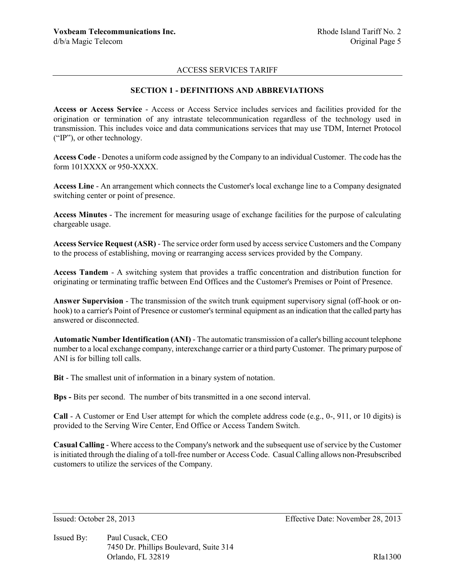### **SECTION 1 - DEFINITIONS AND ABBREVIATIONS**

**Access or Access Service** - Access or Access Service includes services and facilities provided for the origination or termination of any intrastate telecommunication regardless of the technology used in transmission. This includes voice and data communications services that may use TDM, Internet Protocol ("IP"), or other technology.

**Access Code** - Denotes a uniform code assigned by the Company to an individual Customer. The code has the form 101XXXX or 950-XXXX.

**Access Line** - An arrangement which connects the Customer's local exchange line to a Company designated switching center or point of presence.

**Access Minutes** - The increment for measuring usage of exchange facilities for the purpose of calculating chargeable usage.

**Access Service Request (ASR)** - The service order form used by access service Customers and the Company to the process of establishing, moving or rearranging access services provided by the Company.

**Access Tandem** - A switching system that provides a traffic concentration and distribution function for originating or terminating traffic between End Offices and the Customer's Premises or Point of Presence.

**Answer Supervision** - The transmission of the switch trunk equipment supervisory signal (off-hook or onhook) to a carrier's Point of Presence or customer's terminal equipment as an indication that the called party has answered or disconnected.

**Automatic Number Identification (ANI)** - The automatic transmission of a caller's billing account telephone number to a local exchange company, interexchange carrier or a third party Customer. The primary purpose of ANI is for billing toll calls.

**Bit** - The smallest unit of information in a binary system of notation.

**Bps -** Bits per second. The number of bits transmitted in a one second interval.

**Call** - A Customer or End User attempt for which the complete address code (e.g., 0-, 911, or 10 digits) is provided to the Serving Wire Center, End Office or Access Tandem Switch.

**Casual Calling** - Where access to the Company's network and the subsequent use of service by the Customer is initiated through the dialing of a toll-free number or Access Code. Casual Calling allows non-Presubscribed customers to utilize the services of the Company.

Issued: October 28, 2013 Effective Date: November 28, 2013

Issued By: Paul Cusack, CEO 7450 Dr. Phillips Boulevard, Suite 314 Orlando, FL 32819 RIa1300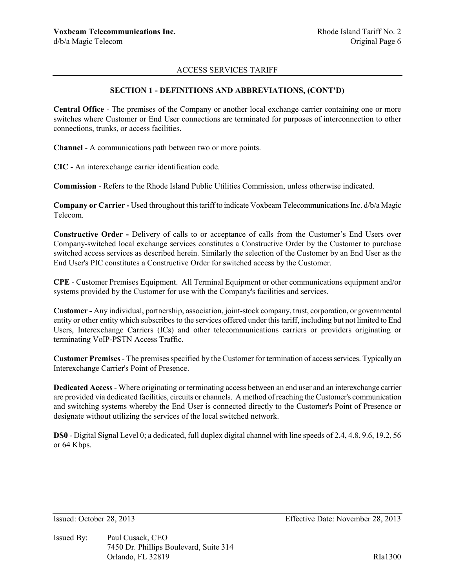### **SECTION 1 - DEFINITIONS AND ABBREVIATIONS, (CONT'D)**

**Central Office** - The premises of the Company or another local exchange carrier containing one or more switches where Customer or End User connections are terminated for purposes of interconnection to other connections, trunks, or access facilities.

**Channel** - A communications path between two or more points.

**CIC** - An interexchange carrier identification code.

**Commission** - Refers to the Rhode Island Public Utilities Commission, unless otherwise indicated.

**Company or Carrier -** Used throughout this tariff to indicate Voxbeam Telecommunications Inc. d/b/a Magic Telecom.

**Constructive Order -** Delivery of calls to or acceptance of calls from the Customer's End Users over Company-switched local exchange services constitutes a Constructive Order by the Customer to purchase switched access services as described herein. Similarly the selection of the Customer by an End User as the End User's PIC constitutes a Constructive Order for switched access by the Customer.

**CPE** - Customer Premises Equipment. All Terminal Equipment or other communications equipment and/or systems provided by the Customer for use with the Company's facilities and services.

**Customer -** Any individual, partnership, association, joint-stock company, trust, corporation, or governmental entity or other entity which subscribes to the services offered under this tariff, including but not limited to End Users, Interexchange Carriers (ICs) and other telecommunications carriers or providers originating or terminating VoIP-PSTN Access Traffic.

**Customer Premises** - The premises specified by the Customer for termination of access services. Typically an Interexchange Carrier's Point of Presence.

**Dedicated Access** - Where originating or terminating access between an end user and an interexchange carrier are provided via dedicated facilities, circuits or channels. A method of reaching the Customer's communication and switching systems whereby the End User is connected directly to the Customer's Point of Presence or designate without utilizing the services of the local switched network.

**DS0** - Digital Signal Level 0; a dedicated, full duplex digital channel with line speeds of 2.4, 4.8, 9.6, 19.2, 56 or 64 Kbps.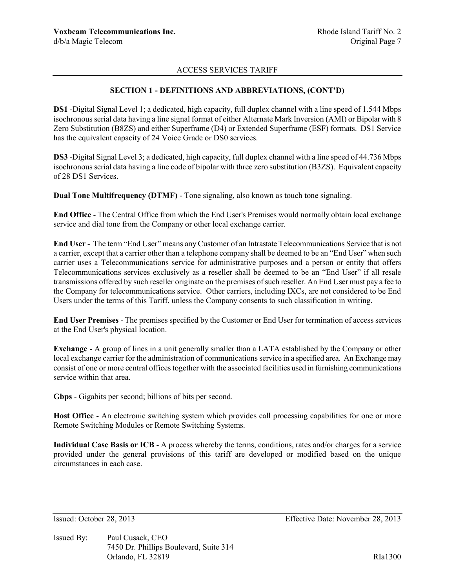### **SECTION 1 - DEFINITIONS AND ABBREVIATIONS, (CONT'D)**

**DS1** -Digital Signal Level 1; a dedicated, high capacity, full duplex channel with a line speed of 1.544 Mbps isochronous serial data having a line signal format of either Alternate Mark Inversion (AMI) or Bipolar with 8 Zero Substitution (B8ZS) and either Superframe (D4) or Extended Superframe (ESF) formats. DS1 Service has the equivalent capacity of 24 Voice Grade or DS0 services.

**DS3** -Digital Signal Level 3; a dedicated, high capacity, full duplex channel with a line speed of 44.736 Mbps isochronous serial data having a line code of bipolar with three zero substitution (B3ZS). Equivalent capacity of 28 DS1 Services.

**Dual Tone Multifrequency (DTMF)** - Tone signaling, also known as touch tone signaling.

**End Office** - The Central Office from which the End User's Premises would normally obtain local exchange service and dial tone from the Company or other local exchange carrier.

**End User** - The term "End User" means any Customer of an Intrastate Telecommunications Service that is not a carrier, except that a carrier other than a telephone company shall be deemed to be an "End User" when such carrier uses a Telecommunications service for administrative purposes and a person or entity that offers Telecommunications services exclusively as a reseller shall be deemed to be an "End User" if all resale transmissions offered by such reseller originate on the premises of such reseller. An End User must pay a fee to the Company for telecommunications service. Other carriers, including IXCs, are not considered to be End Users under the terms of this Tariff, unless the Company consents to such classification in writing.

**End User Premises** - The premises specified by the Customer or End User for termination of access services at the End User's physical location.

**Exchange** - A group of lines in a unit generally smaller than a LATA established by the Company or other local exchange carrier for the administration of communications service in a specified area. An Exchange may consist of one or more central offices together with the associated facilities used in furnishing communications service within that area.

**Gbps** - Gigabits per second; billions of bits per second.

**Host Office** - An electronic switching system which provides call processing capabilities for one or more Remote Switching Modules or Remote Switching Systems.

**Individual Case Basis or ICB** - A process whereby the terms, conditions, rates and/or charges for a service provided under the general provisions of this tariff are developed or modified based on the unique circumstances in each case.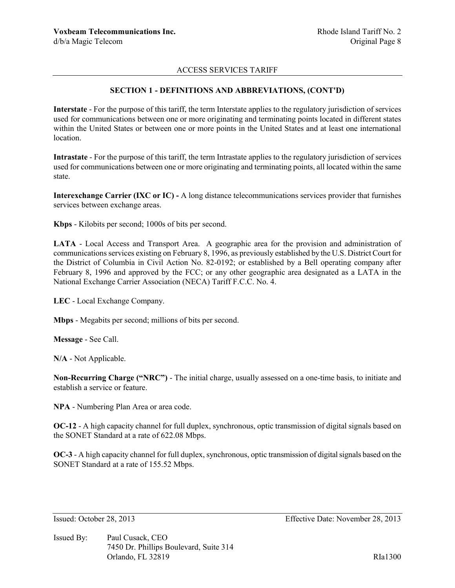#### **SECTION 1 - DEFINITIONS AND ABBREVIATIONS, (CONT'D)**

**Interstate** - For the purpose of this tariff, the term Interstate applies to the regulatory jurisdiction of services used for communications between one or more originating and terminating points located in different states within the United States or between one or more points in the United States and at least one international location.

**Intrastate** - For the purpose of this tariff, the term Intrastate applies to the regulatory jurisdiction of services used for communications between one or more originating and terminating points, all located within the same state.

**Interexchange Carrier (IXC or IC) -** A long distance telecommunications services provider that furnishes services between exchange areas.

**Kbps** - Kilobits per second; 1000s of bits per second.

**LATA** - Local Access and Transport Area. A geographic area for the provision and administration of communications services existing on February 8, 1996, as previously established by the U.S. District Court for the District of Columbia in Civil Action No. 82-0192; or established by a Bell operating company after February 8, 1996 and approved by the FCC; or any other geographic area designated as a LATA in the National Exchange Carrier Association (NECA) Tariff F.C.C. No. 4.

**LEC** - Local Exchange Company.

**Mbps** - Megabits per second; millions of bits per second.

**Message** - See Call.

**N/A** - Not Applicable.

**Non-Recurring Charge ("NRC")** - The initial charge, usually assessed on a one-time basis, to initiate and establish a service or feature.

**NPA** - Numbering Plan Area or area code.

**OC-12** - A high capacity channel for full duplex, synchronous, optic transmission of digital signals based on the SONET Standard at a rate of 622.08 Mbps.

**OC-3** - A high capacity channel for full duplex, synchronous, optic transmission of digital signals based on the SONET Standard at a rate of 155.52 Mbps.

Issued By: Paul Cusack, CEO 7450 Dr. Phillips Boulevard, Suite 314 Orlando, FL 32819 RIa1300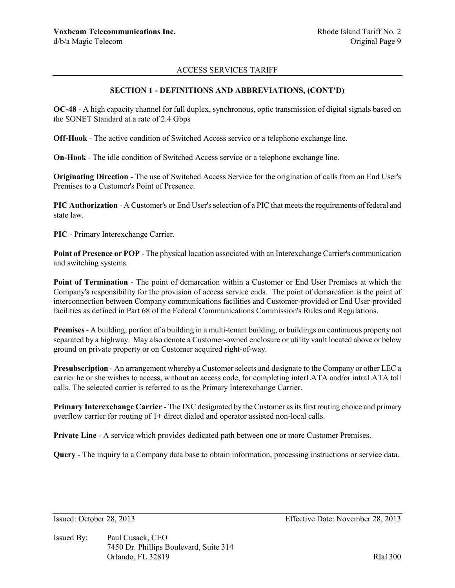### **SECTION 1 - DEFINITIONS AND ABBREVIATIONS, (CONT'D)**

**OC-48** - A high capacity channel for full duplex, synchronous, optic transmission of digital signals based on the SONET Standard at a rate of 2.4 Gbps

**Off-Hook** - The active condition of Switched Access service or a telephone exchange line.

**On-Hook** - The idle condition of Switched Access service or a telephone exchange line.

**Originating Direction** - The use of Switched Access Service for the origination of calls from an End User's Premises to a Customer's Point of Presence.

**PIC Authorization** - A Customer's or End User's selection of a PIC that meets the requirements of federal and state law.

**PIC** - Primary Interexchange Carrier.

**Point of Presence or POP** - The physical location associated with an Interexchange Carrier's communication and switching systems.

**Point of Termination** - The point of demarcation within a Customer or End User Premises at which the Company's responsibility for the provision of access service ends. The point of demarcation is the point of interconnection between Company communications facilities and Customer-provided or End User-provided facilities as defined in Part 68 of the Federal Communications Commission's Rules and Regulations.

**Premises**- A building, portion of a building in a multi-tenant building, or buildings on continuous property not separated by a highway. May also denote a Customer-owned enclosure or utility vault located above or below ground on private property or on Customer acquired right-of-way.

**Presubscription** - An arrangement whereby a Customer selects and designate to the Company or other LEC a carrier he or she wishes to access, without an access code, for completing interLATA and/or intraLATA toll calls. The selected carrier is referred to as the Primary Interexchange Carrier.

**Primary Interexchange Carrier** - The IXC designated by the Customer as its first routing choice and primary overflow carrier for routing of 1+ direct dialed and operator assisted non-local calls.

**Private Line** - A service which provides dedicated path between one or more Customer Premises.

**Query** - The inquiry to a Company data base to obtain information, processing instructions or service data.

Issued: October 28, 2013 Effective Date: November 28, 2013

Issued By: Paul Cusack, CEO 7450 Dr. Phillips Boulevard, Suite 314 Orlando, FL 32819 RIa1300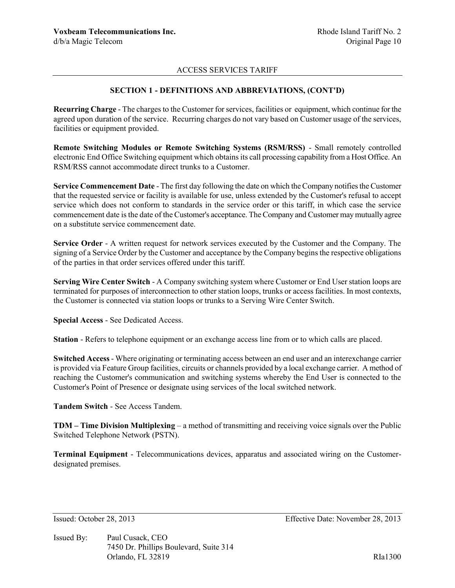### **SECTION 1 - DEFINITIONS AND ABBREVIATIONS, (CONT'D)**

**Recurring Charge** - The charges to the Customer for services, facilities or equipment, which continue for the agreed upon duration of the service. Recurring charges do not vary based on Customer usage of the services, facilities or equipment provided.

**Remote Switching Modules or Remote Switching Systems (RSM/RSS)** - Small remotely controlled electronic End Office Switching equipment which obtains its call processing capability from a Host Office. An RSM/RSS cannot accommodate direct trunks to a Customer.

**Service Commencement Date** - The first day following the date on which the Company notifies the Customer that the requested service or facility is available for use, unless extended by the Customer's refusal to accept service which does not conform to standards in the service order or this tariff, in which case the service commencement date is the date of the Customer's acceptance. The Company and Customer may mutually agree on a substitute service commencement date.

**Service Order** - A written request for network services executed by the Customer and the Company. The signing of a Service Order by the Customer and acceptance by the Company begins the respective obligations of the parties in that order services offered under this tariff.

**Serving Wire Center Switch** - A Company switching system where Customer or End User station loops are terminated for purposes of interconnection to other station loops, trunks or access facilities. In most contexts, the Customer is connected via station loops or trunks to a Serving Wire Center Switch.

**Special Access** - See Dedicated Access.

**Station** - Refers to telephone equipment or an exchange access line from or to which calls are placed.

**Switched Access** - Where originating or terminating access between an end user and an interexchange carrier is provided via Feature Group facilities, circuits or channels provided by a local exchange carrier. A method of reaching the Customer's communication and switching systems whereby the End User is connected to the Customer's Point of Presence or designate using services of the local switched network.

**Tandem Switch** - See Access Tandem.

**TDM – Time Division Multiplexing** – a method of transmitting and receiving voice signals over the Public Switched Telephone Network (PSTN).

**Terminal Equipment** - Telecommunications devices, apparatus and associated wiring on the Customerdesignated premises.

Issued By: Paul Cusack, CEO 7450 Dr. Phillips Boulevard, Suite 314 Orlando, FL 32819 RIa1300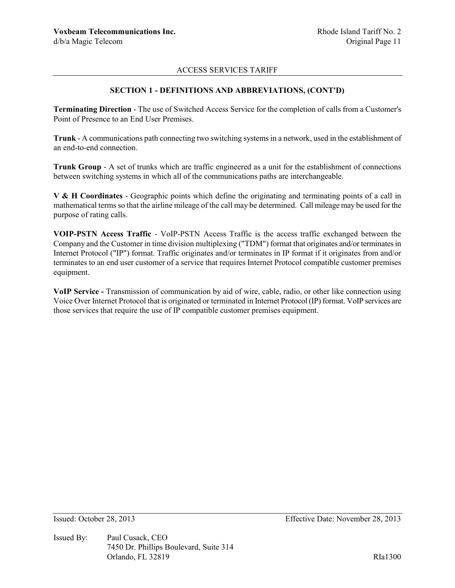## **SECTION 1 - DEFINITIONS AND ABBREVIATIONS, (CONT'D)**

**Terminating Direction** - The use of Switched Access Service for the completion of calls from a Customer's Point of Presence to an End User Premises.

**Trunk** - A communications path connecting two switching systems in a network, used in the establishment of an end-to-end connection.

**Trunk Group** - A set of trunks which are traffic engineered as a unit for the establishment of connections between switching systems in which all of the communications paths are interchangeable.

**V & H Coordinates** - Geographic points which define the originating and terminating points of a call in mathematical terms so that the airline mileage of the call may be determined. Call mileage may be used for the purpose of rating calls.

**VOIP-PSTN Access Traffic** - VoIP-PSTN Access Traffic is the access traffic exchanged between the Company and the Customer in time division multiplexing ("TDM") format that originates and/or terminates in Internet Protocol ("IP") format. Traffic originates and/or terminates in IP format if it originates from and/or terminates to an end user customer of a service that requires Internet Protocol compatible customer premises equipment.

**VoIP Service -** Transmission of communication by aid of wire, cable, radio, or other like connection using Voice Over Internet Protocol that is originated or terminated in Internet Protocol (IP) format. VoIP services are those services that require the use of IP compatible customer premises equipment.

Issued By: Paul Cusack, CEO 7450 Dr. Phillips Boulevard, Suite 314 Orlando, FL 32819 RIa1300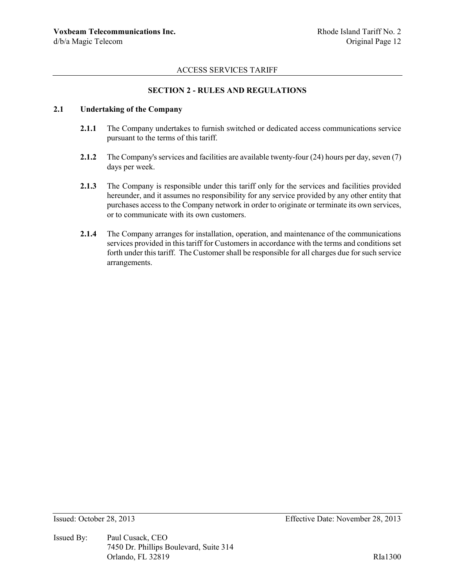## **SECTION 2 - RULES AND REGULATIONS**

# **2.1 Undertaking of the Company**

- **2.1.1** The Company undertakes to furnish switched or dedicated access communications service pursuant to the terms of this tariff.
- **2.1.2** The Company's services and facilities are available twenty-four (24) hours per day, seven (7) days per week.
- **2.1.3** The Company is responsible under this tariff only for the services and facilities provided hereunder, and it assumes no responsibility for any service provided by any other entity that purchases access to the Company network in order to originate or terminate its own services, or to communicate with its own customers.
- **2.1.4** The Company arranges for installation, operation, and maintenance of the communications services provided in this tariff for Customers in accordance with the terms and conditions set forth under this tariff. The Customer shall be responsible for all charges due for such service arrangements.

Issued By: Paul Cusack, CEO 7450 Dr. Phillips Boulevard, Suite 314 Orlando, FL 32819 RIa1300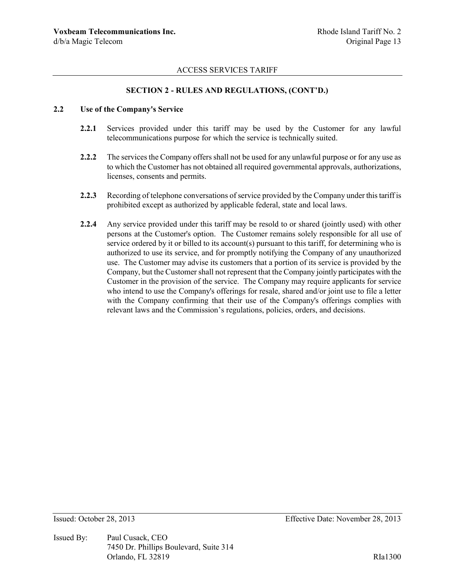### **SECTION 2 - RULES AND REGULATIONS, (CONT'D.)**

### **2.2 Use of the Company's Service**

- **2.2.1** Services provided under this tariff may be used by the Customer for any lawful telecommunications purpose for which the service is technically suited.
- **2.2.2** The services the Company offers shall not be used for any unlawful purpose or for any use as to which the Customer has not obtained all required governmental approvals, authorizations, licenses, consents and permits.
- **2.2.3** Recording of telephone conversations of service provided by the Company under this tariff is prohibited except as authorized by applicable federal, state and local laws.
- **2.2.4** Any service provided under this tariff may be resold to or shared (jointly used) with other persons at the Customer's option. The Customer remains solely responsible for all use of service ordered by it or billed to its account(s) pursuant to this tariff, for determining who is authorized to use its service, and for promptly notifying the Company of any unauthorized use. The Customer may advise its customers that a portion of its service is provided by the Company, but the Customer shall not represent that the Company jointly participates with the Customer in the provision of the service. The Company may require applicants for service who intend to use the Company's offerings for resale, shared and/or joint use to file a letter with the Company confirming that their use of the Company's offerings complies with relevant laws and the Commission's regulations, policies, orders, and decisions.

Issued By: Paul Cusack, CEO 7450 Dr. Phillips Boulevard, Suite 314 Orlando, FL 32819 RIa1300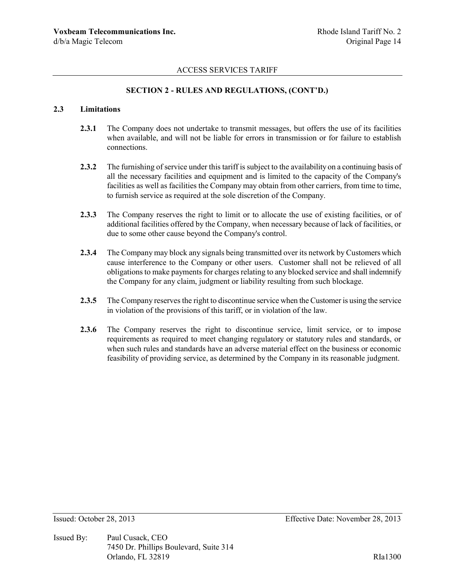## **SECTION 2 - RULES AND REGULATIONS, (CONT'D.)**

# **2.3 Limitations**

- **2.3.1** The Company does not undertake to transmit messages, but offers the use of its facilities when available, and will not be liable for errors in transmission or for failure to establish connections.
- **2.3.2** The furnishing of service under this tariff is subject to the availability on a continuing basis of all the necessary facilities and equipment and is limited to the capacity of the Company's facilities as well as facilities the Company may obtain from other carriers, from time to time, to furnish service as required at the sole discretion of the Company.
- **2.3.3** The Company reserves the right to limit or to allocate the use of existing facilities, or of additional facilities offered by the Company, when necessary because of lack of facilities, or due to some other cause beyond the Company's control.
- **2.3.4** The Company may block any signals being transmitted over its network by Customers which cause interference to the Company or other users. Customer shall not be relieved of all obligations to make payments for charges relating to any blocked service and shall indemnify the Company for any claim, judgment or liability resulting from such blockage.
- **2.3.5** The Company reserves the right to discontinue service when the Customer is using the service in violation of the provisions of this tariff, or in violation of the law.
- **2.3.6** The Company reserves the right to discontinue service, limit service, or to impose requirements as required to meet changing regulatory or statutory rules and standards, or when such rules and standards have an adverse material effect on the business or economic feasibility of providing service, as determined by the Company in its reasonable judgment.

Issued By: Paul Cusack, CEO 7450 Dr. Phillips Boulevard, Suite 314 Orlando, FL 32819 RIa1300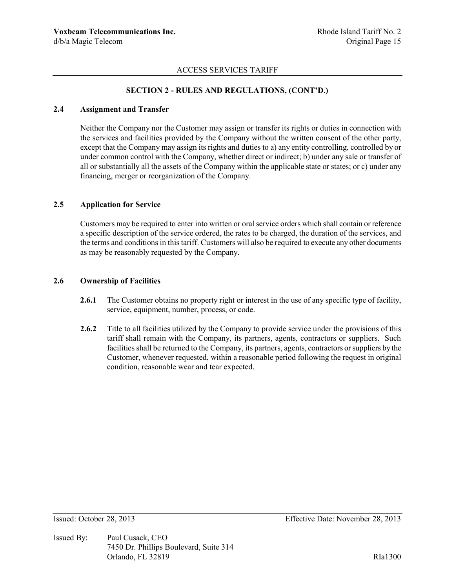## **SECTION 2 - RULES AND REGULATIONS, (CONT'D.)**

### **2.4 Assignment and Transfer**

Neither the Company nor the Customer may assign or transfer its rights or duties in connection with the services and facilities provided by the Company without the written consent of the other party, except that the Company may assign its rights and duties to a) any entity controlling, controlled by or under common control with the Company, whether direct or indirect; b) under any sale or transfer of all or substantially all the assets of the Company within the applicable state or states; or c) under any financing, merger or reorganization of the Company.

### **2.5 Application for Service**

Customers may be required to enter into written or oral service orders which shall contain or reference a specific description of the service ordered, the rates to be charged, the duration of the services, and the terms and conditions in this tariff. Customers will also be required to execute any other documents as may be reasonably requested by the Company.

#### **2.6 Ownership of Facilities**

- **2.6.1** The Customer obtains no property right or interest in the use of any specific type of facility, service, equipment, number, process, or code.
- **2.6.2** Title to all facilities utilized by the Company to provide service under the provisions of this tariff shall remain with the Company, its partners, agents, contractors or suppliers. Such facilities shall be returned to the Company, its partners, agents, contractors or suppliers by the Customer, whenever requested, within a reasonable period following the request in original condition, reasonable wear and tear expected.

Issued By: Paul Cusack, CEO 7450 Dr. Phillips Boulevard, Suite 314 Orlando, FL 32819 RIa1300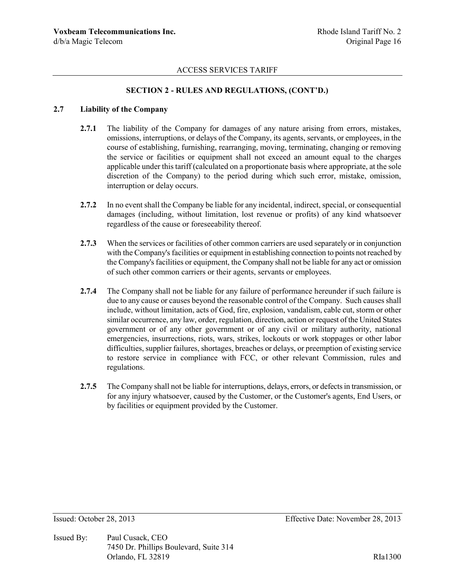## **SECTION 2 - RULES AND REGULATIONS, (CONT'D.)**

#### **2.7 Liability of the Company**

- 2.7.1 The liability of the Company for damages of any nature arising from errors, mistakes, omissions, interruptions, or delays of the Company, its agents, servants, or employees, in the course of establishing, furnishing, rearranging, moving, terminating, changing or removing the service or facilities or equipment shall not exceed an amount equal to the charges applicable under this tariff (calculated on a proportionate basis where appropriate, at the sole discretion of the Company) to the period during which such error, mistake, omission, interruption or delay occurs.
- **2.7.2** In no event shall the Company be liable for any incidental, indirect, special, or consequential damages (including, without limitation, lost revenue or profits) of any kind whatsoever regardless of the cause or foreseeability thereof.
- **2.7.3** When the services or facilities of other common carriers are used separately or in conjunction with the Company's facilities or equipment in establishing connection to points not reached by the Company's facilities or equipment, the Company shall not be liable for any act or omission of such other common carriers or their agents, servants or employees.
- **2.7.4** The Company shall not be liable for any failure of performance hereunder if such failure is due to any cause or causes beyond the reasonable control of the Company. Such causes shall include, without limitation, acts of God, fire, explosion, vandalism, cable cut, storm or other similar occurrence, any law, order, regulation, direction, action or request of the United States government or of any other government or of any civil or military authority, national emergencies, insurrections, riots, wars, strikes, lockouts or work stoppages or other labor difficulties, supplier failures, shortages, breaches or delays, or preemption of existing service to restore service in compliance with FCC, or other relevant Commission, rules and regulations.
- **2.7.5** The Company shall not be liable for interruptions, delays, errors, or defects in transmission, or for any injury whatsoever, caused by the Customer, or the Customer's agents, End Users, or by facilities or equipment provided by the Customer.

Issued By: Paul Cusack, CEO 7450 Dr. Phillips Boulevard, Suite 314 Orlando, FL 32819 RIa1300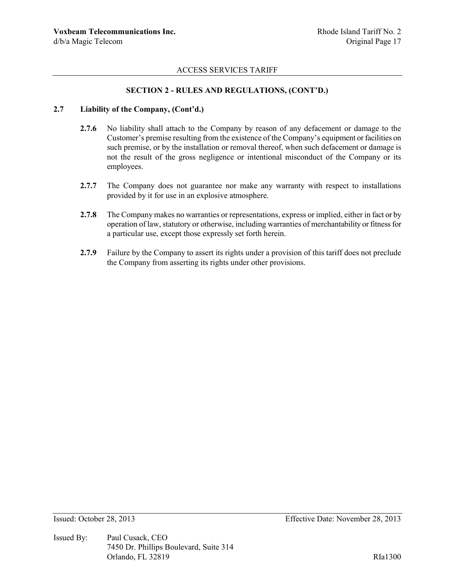## **SECTION 2 - RULES AND REGULATIONS, (CONT'D.)**

### **2.7 Liability of the Company, (Cont'd.)**

- **2.7.6** No liability shall attach to the Company by reason of any defacement or damage to the Customer's premise resulting from the existence of the Company's equipment or facilities on such premise, or by the installation or removal thereof, when such defacement or damage is not the result of the gross negligence or intentional misconduct of the Company or its employees.
- **2.7.7** The Company does not guarantee nor make any warranty with respect to installations provided by it for use in an explosive atmosphere.
- **2.7.8** The Company makes no warranties or representations, express or implied, either in fact or by operation of law, statutory or otherwise, including warranties of merchantability or fitness for a particular use, except those expressly set forth herein.
- **2.7.9** Failure by the Company to assert its rights under a provision of this tariff does not preclude the Company from asserting its rights under other provisions.

Issued By: Paul Cusack, CEO 7450 Dr. Phillips Boulevard, Suite 314 Orlando, FL 32819 RIa1300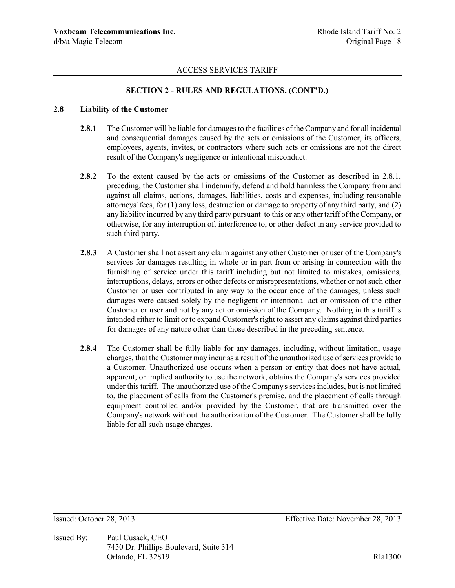## **SECTION 2 - RULES AND REGULATIONS, (CONT'D.)**

#### **2.8 Liability of the Customer**

- **2.8.1** The Customer will be liable for damages to the facilities of the Company and for all incidental and consequential damages caused by the acts or omissions of the Customer, its officers, employees, agents, invites, or contractors where such acts or omissions are not the direct result of the Company's negligence or intentional misconduct.
- **2.8.2** To the extent caused by the acts or omissions of the Customer as described in 2.8.1, preceding, the Customer shall indemnify, defend and hold harmless the Company from and against all claims, actions, damages, liabilities, costs and expenses, including reasonable attorneys' fees, for (1) any loss, destruction or damage to property of any third party, and (2) any liability incurred by any third party pursuant to this or any other tariff of the Company, or otherwise, for any interruption of, interference to, or other defect in any service provided to such third party.
- **2.8.3** A Customer shall not assert any claim against any other Customer or user of the Company's services for damages resulting in whole or in part from or arising in connection with the furnishing of service under this tariff including but not limited to mistakes, omissions, interruptions, delays, errors or other defects or misrepresentations, whether or not such other Customer or user contributed in any way to the occurrence of the damages, unless such damages were caused solely by the negligent or intentional act or omission of the other Customer or user and not by any act or omission of the Company. Nothing in this tariff is intended either to limit or to expand Customer's right to assert any claims against third parties for damages of any nature other than those described in the preceding sentence.
- **2.8.4** The Customer shall be fully liable for any damages, including, without limitation, usage charges, that the Customer may incur as a result of the unauthorized use of services provide to a Customer. Unauthorized use occurs when a person or entity that does not have actual, apparent, or implied authority to use the network, obtains the Company's services provided under this tariff. The unauthorized use of the Company's services includes, but is not limited to, the placement of calls from the Customer's premise, and the placement of calls through equipment controlled and/or provided by the Customer, that are transmitted over the Company's network without the authorization of the Customer. The Customer shall be fully liable for all such usage charges.

Issued By: Paul Cusack, CEO 7450 Dr. Phillips Boulevard, Suite 314 Orlando, FL 32819 RIa1300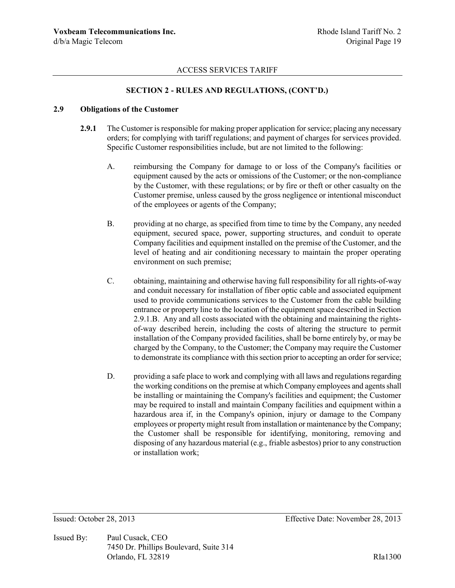## **SECTION 2 - RULES AND REGULATIONS, (CONT'D.)**

### **2.9 Obligations of the Customer**

- **2.9.1** The Customer is responsible for making proper application for service; placing any necessary orders; for complying with tariff regulations; and payment of charges for services provided. Specific Customer responsibilities include, but are not limited to the following:
	- A. reimbursing the Company for damage to or loss of the Company's facilities or equipment caused by the acts or omissions of the Customer; or the non-compliance by the Customer, with these regulations; or by fire or theft or other casualty on the Customer premise, unless caused by the gross negligence or intentional misconduct of the employees or agents of the Company;
	- B. providing at no charge, as specified from time to time by the Company, any needed equipment, secured space, power, supporting structures, and conduit to operate Company facilities and equipment installed on the premise of the Customer, and the level of heating and air conditioning necessary to maintain the proper operating environment on such premise;
	- C. obtaining, maintaining and otherwise having full responsibility for all rights-of-way and conduit necessary for installation of fiber optic cable and associated equipment used to provide communications services to the Customer from the cable building entrance or property line to the location of the equipment space described in Section 2.9.1.B. Any and all costs associated with the obtaining and maintaining the rightsof-way described herein, including the costs of altering the structure to permit installation of the Company provided facilities, shall be borne entirely by, or may be charged by the Company, to the Customer; the Company may require the Customer to demonstrate its compliance with this section prior to accepting an order for service;
	- D. providing a safe place to work and complying with all laws and regulations regarding the working conditions on the premise at which Company employees and agents shall be installing or maintaining the Company's facilities and equipment; the Customer may be required to install and maintain Company facilities and equipment within a hazardous area if, in the Company's opinion, injury or damage to the Company employees or property might result from installation or maintenance by the Company; the Customer shall be responsible for identifying, monitoring, removing and disposing of any hazardous material (e.g., friable asbestos) prior to any construction or installation work;

Issued By: Paul Cusack, CEO 7450 Dr. Phillips Boulevard, Suite 314 Orlando, FL 32819 RIa1300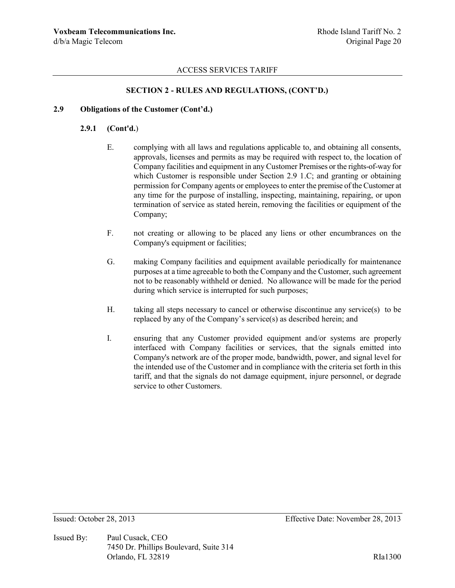## **SECTION 2 - RULES AND REGULATIONS, (CONT'D.)**

### **2.9 Obligations of the Customer (Cont'd.)**

#### **2.9.1 (Cont'd.**)

- E. complying with all laws and regulations applicable to, and obtaining all consents, approvals, licenses and permits as may be required with respect to, the location of Company facilities and equipment in any Customer Premises or the rights-of-way for which Customer is responsible under Section 2.9 1.C; and granting or obtaining permission for Company agents or employees to enter the premise of the Customer at any time for the purpose of installing, inspecting, maintaining, repairing, or upon termination of service as stated herein, removing the facilities or equipment of the Company;
- F. not creating or allowing to be placed any liens or other encumbrances on the Company's equipment or facilities;
- G. making Company facilities and equipment available periodically for maintenance purposes at a time agreeable to both the Company and the Customer, such agreement not to be reasonably withheld or denied. No allowance will be made for the period during which service is interrupted for such purposes;
- H. taking all steps necessary to cancel or otherwise discontinue any service(s) to be replaced by any of the Company's service(s) as described herein; and
- I. ensuring that any Customer provided equipment and/or systems are properly interfaced with Company facilities or services, that the signals emitted into Company's network are of the proper mode, bandwidth, power, and signal level for the intended use of the Customer and in compliance with the criteria set forth in this tariff, and that the signals do not damage equipment, injure personnel, or degrade service to other Customers.

Issued By: Paul Cusack, CEO 7450 Dr. Phillips Boulevard, Suite 314 Orlando, FL 32819 RIa1300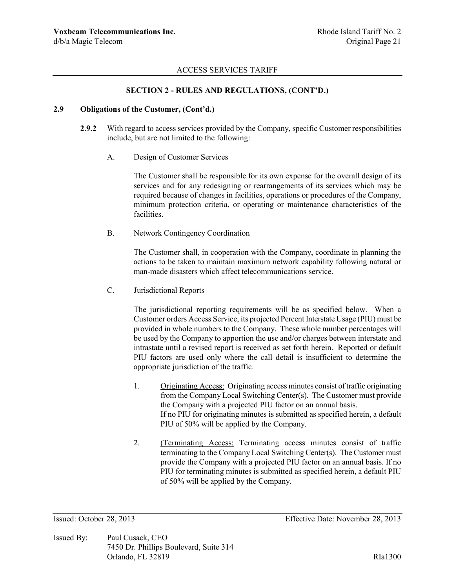## **SECTION 2 - RULES AND REGULATIONS, (CONT'D.)**

### **2.9 Obligations of the Customer, (Cont'd.)**

- **2.9.2** With regard to access services provided by the Company, specific Customer responsibilities include, but are not limited to the following:
	- A. Design of Customer Services

The Customer shall be responsible for its own expense for the overall design of its services and for any redesigning or rearrangements of its services which may be required because of changes in facilities, operations or procedures of the Company, minimum protection criteria, or operating or maintenance characteristics of the facilities.

B. Network Contingency Coordination

The Customer shall, in cooperation with the Company, coordinate in planning the actions to be taken to maintain maximum network capability following natural or man-made disasters which affect telecommunications service.

C. Jurisdictional Reports

The jurisdictional reporting requirements will be as specified below. When a Customer orders Access Service, its projected Percent Interstate Usage (PIU) must be provided in whole numbers to the Company. These whole number percentages will be used by the Company to apportion the use and/or charges between interstate and intrastate until a revised report is received as set forth herein. Reported or default PIU factors are used only where the call detail is insufficient to determine the appropriate jurisdiction of the traffic.

- 1. Originating Access: Originating access minutes consist of traffic originating from the Company Local Switching Center(s). The Customer must provide the Company with a projected PIU factor on an annual basis. If no PIU for originating minutes is submitted as specified herein, a default PIU of 50% will be applied by the Company.
- 2. (Terminating Access: Terminating access minutes consist of traffic terminating to the Company Local Switching Center(s). The Customer must provide the Company with a projected PIU factor on an annual basis. If no PIU for terminating minutes is submitted as specified herein, a default PIU of 50% will be applied by the Company.

Issued By: Paul Cusack, CEO 7450 Dr. Phillips Boulevard, Suite 314 Orlando, FL 32819 RIa1300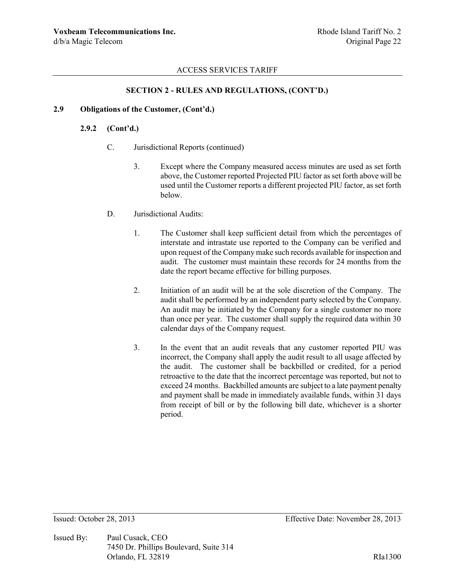# **SECTION 2 - RULES AND REGULATIONS, (CONT'D.)**

### **2.9 Obligations of the Customer, (Cont'd.)**

# **2.9.2 (Cont'd.)**

- C. Jurisdictional Reports (continued)
	- 3. Except where the Company measured access minutes are used as set forth above, the Customer reported Projected PIU factor as set forth above will be used until the Customer reports a different projected PIU factor, as set forth below.
- D. Jurisdictional Audits:
	- 1. The Customer shall keep sufficient detail from which the percentages of interstate and intrastate use reported to the Company can be verified and upon request of the Company make such records available for inspection and audit. The customer must maintain these records for 24 months from the date the report became effective for billing purposes.
	- 2. Initiation of an audit will be at the sole discretion of the Company. The audit shall be performed by an independent party selected by the Company. An audit may be initiated by the Company for a single customer no more than once per year. The customer shall supply the required data within 30 calendar days of the Company request.
	- 3. In the event that an audit reveals that any customer reported PIU was incorrect, the Company shall apply the audit result to all usage affected by the audit. The customer shall be backbilled or credited, for a period retroactive to the date that the incorrect percentage was reported, but not to exceed 24 months. Backbilled amounts are subject to a late payment penalty and payment shall be made in immediately available funds, within 31 days from receipt of bill or by the following bill date, whichever is a shorter period.

Issued By: Paul Cusack, CEO 7450 Dr. Phillips Boulevard, Suite 314 Orlando, FL 32819 RIa1300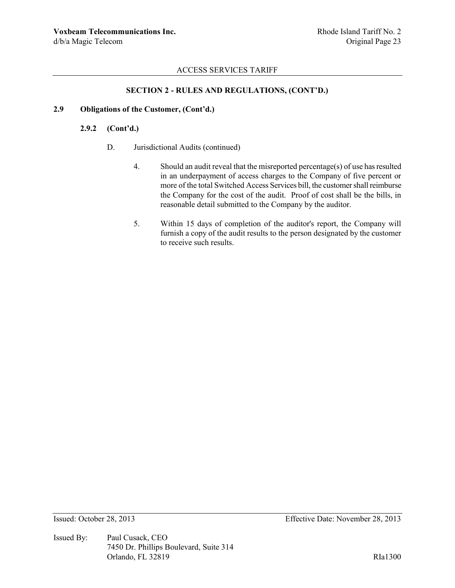## **SECTION 2 - RULES AND REGULATIONS, (CONT'D.)**

### **2.9 Obligations of the Customer, (Cont'd.)**

## **2.9.2 (Cont'd.)**

- D. Jurisdictional Audits (continued)
	- 4. Should an audit reveal that the misreported percentage(s) of use has resulted in an underpayment of access charges to the Company of five percent or more of the total Switched Access Services bill, the customer shall reimburse the Company for the cost of the audit. Proof of cost shall be the bills, in reasonable detail submitted to the Company by the auditor.
	- 5. Within 15 days of completion of the auditor's report, the Company will furnish a copy of the audit results to the person designated by the customer to receive such results.

Issued By: Paul Cusack, CEO 7450 Dr. Phillips Boulevard, Suite 314 Orlando, FL 32819 RIa1300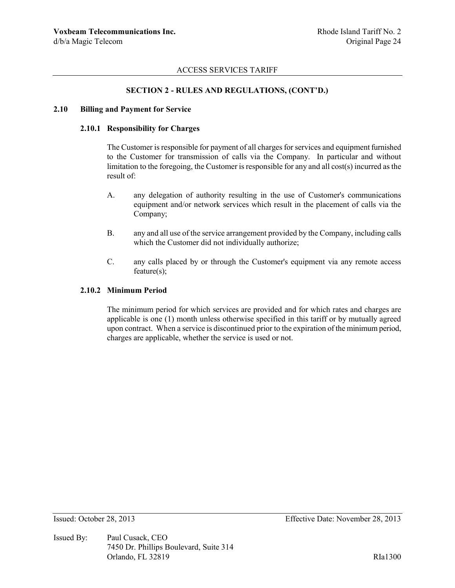### **SECTION 2 - RULES AND REGULATIONS, (CONT'D.)**

#### **2.10 Billing and Payment for Service**

#### **2.10.1 Responsibility for Charges**

The Customer is responsible for payment of all charges for services and equipment furnished to the Customer for transmission of calls via the Company. In particular and without limitation to the foregoing, the Customer is responsible for any and all cost(s) incurred as the result of:

- A. any delegation of authority resulting in the use of Customer's communications equipment and/or network services which result in the placement of calls via the Company;
- B. any and all use of the service arrangement provided by the Company, including calls which the Customer did not individually authorize;
- C. any calls placed by or through the Customer's equipment via any remote access feature(s);

#### **2.10.2 Minimum Period**

The minimum period for which services are provided and for which rates and charges are applicable is one (1) month unless otherwise specified in this tariff or by mutually agreed upon contract. When a service is discontinued prior to the expiration of the minimum period, charges are applicable, whether the service is used or not.

Issued By: Paul Cusack, CEO 7450 Dr. Phillips Boulevard, Suite 314 Orlando, FL 32819 RIa1300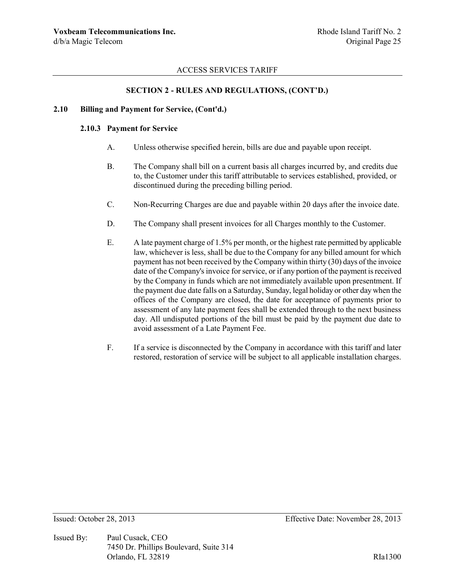## **SECTION 2 - RULES AND REGULATIONS, (CONT'D.)**

#### **2.10 Billing and Payment for Service, (Cont'd.)**

### **2.10.3 Payment for Service**

- A. Unless otherwise specified herein, bills are due and payable upon receipt.
- B. The Company shall bill on a current basis all charges incurred by, and credits due to, the Customer under this tariff attributable to services established, provided, or discontinued during the preceding billing period.
- C. Non-Recurring Charges are due and payable within 20 days after the invoice date.
- D. The Company shall present invoices for all Charges monthly to the Customer.
- E. A late payment charge of 1.5% per month, or the highest rate permitted by applicable law, whichever is less, shall be due to the Company for any billed amount for which payment has not been received by the Company within thirty (30) days of the invoice date of the Company's invoice for service, or if any portion of the payment is received by the Company in funds which are not immediately available upon presentment. If the payment due date falls on a Saturday, Sunday, legal holiday or other day when the offices of the Company are closed, the date for acceptance of payments prior to assessment of any late payment fees shall be extended through to the next business day. All undisputed portions of the bill must be paid by the payment due date to avoid assessment of a Late Payment Fee.
- F. If a service is disconnected by the Company in accordance with this tariff and later restored, restoration of service will be subject to all applicable installation charges.

Issued By: Paul Cusack, CEO 7450 Dr. Phillips Boulevard, Suite 314 Orlando, FL 32819 RIa1300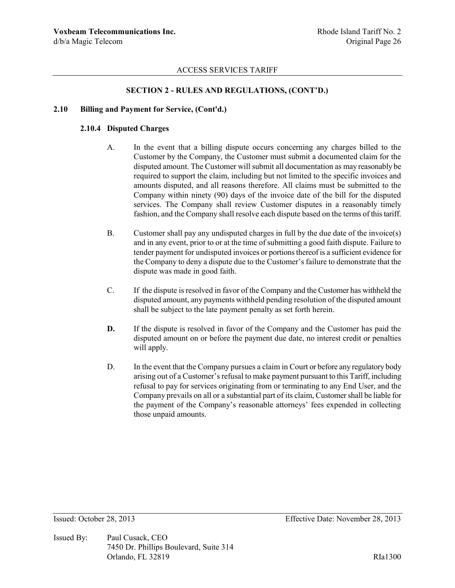## **SECTION 2 - RULES AND REGULATIONS, (CONT'D.)**

#### **2.10 Billing and Payment for Service, (Cont'd.)**

### **2.10.4 Disputed Charges**

- A. In the event that a billing dispute occurs concerning any charges billed to the Customer by the Company, the Customer must submit a documented claim for the disputed amount. The Customer will submit all documentation as may reasonably be required to support the claim, including but not limited to the specific invoices and amounts disputed, and all reasons therefore. All claims must be submitted to the Company within ninety (90) days of the invoice date of the bill for the disputed services. The Company shall review Customer disputes in a reasonably timely fashion, and the Company shall resolve each dispute based on the terms of this tariff.
- B. Customer shall pay any undisputed charges in full by the due date of the invoice(s) and in any event, prior to or at the time of submitting a good faith dispute. Failure to tender payment for undisputed invoices or portions thereof is a sufficient evidence for the Company to deny a dispute due to the Customer's failure to demonstrate that the dispute was made in good faith.
- C. If the dispute is resolved in favor of the Company and the Customer has withheld the disputed amount, any payments withheld pending resolution of the disputed amount shall be subject to the late payment penalty as set forth herein.
- **D.** If the dispute is resolved in favor of the Company and the Customer has paid the disputed amount on or before the payment due date, no interest credit or penalties will apply.
- D. In the event that the Company pursues a claim in Court or before any regulatory body arising out of a Customer's refusal to make payment pursuant to this Tariff, including refusal to pay for services originating from or terminating to any End User, and the Company prevails on all or a substantial part of its claim, Customer shall be liable for the payment of the Company's reasonable attorneys' fees expended in collecting those unpaid amounts.

Issued By: Paul Cusack, CEO 7450 Dr. Phillips Boulevard, Suite 314 Orlando, FL 32819 RIa1300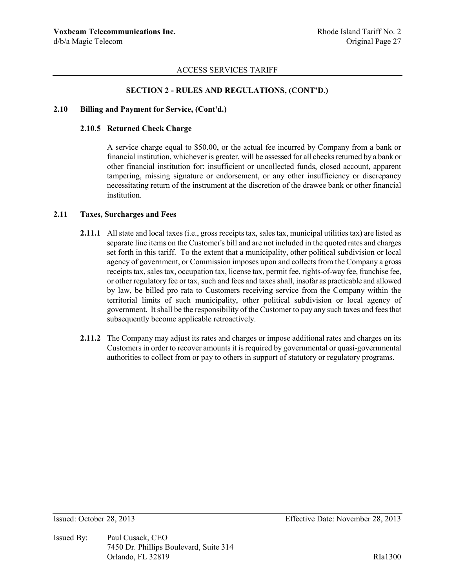### **SECTION 2 - RULES AND REGULATIONS, (CONT'D.)**

#### **2.10 Billing and Payment for Service, (Cont'd.)**

### **2.10.5 Returned Check Charge**

A service charge equal to \$50.00, or the actual fee incurred by Company from a bank or financial institution, whichever is greater, will be assessed for all checks returned by a bank or other financial institution for: insufficient or uncollected funds, closed account, apparent tampering, missing signature or endorsement, or any other insufficiency or discrepancy necessitating return of the instrument at the discretion of the drawee bank or other financial institution.

### **2.11 Taxes, Surcharges and Fees**

- **2.11.1** All state and local taxes (i.e., gross receipts tax, sales tax, municipal utilities tax) are listed as separate line items on the Customer's bill and are not included in the quoted rates and charges set forth in this tariff. To the extent that a municipality, other political subdivision or local agency of government, or Commission imposes upon and collects from the Company a gross receipts tax, sales tax, occupation tax, license tax, permit fee, rights-of-way fee, franchise fee, or other regulatory fee or tax, such and fees and taxes shall, insofar as practicable and allowed by law, be billed pro rata to Customers receiving service from the Company within the territorial limits of such municipality, other political subdivision or local agency of government. It shall be the responsibility of the Customer to pay any such taxes and fees that subsequently become applicable retroactively.
- **2.11.2** The Company may adjust its rates and charges or impose additional rates and charges on its Customers in order to recover amounts it is required by governmental or quasi-governmental authorities to collect from or pay to others in support of statutory or regulatory programs.

Issued By: Paul Cusack, CEO 7450 Dr. Phillips Boulevard, Suite 314 Orlando, FL 32819 RIa1300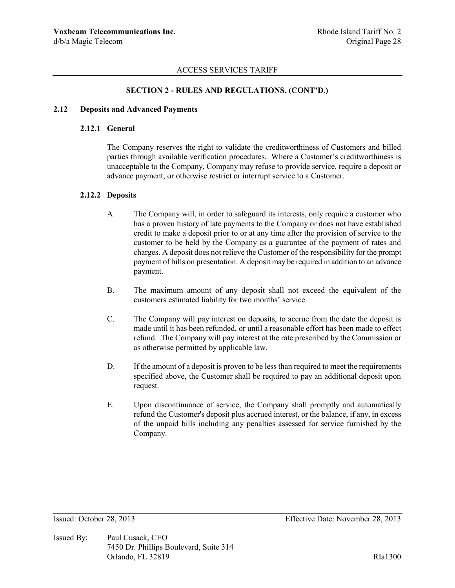### **SECTION 2 - RULES AND REGULATIONS, (CONT'D.)**

#### **2.12 Deposits and Advanced Payments**

### **2.12.1 General**

The Company reserves the right to validate the creditworthiness of Customers and billed parties through available verification procedures. Where a Customer's creditworthiness is unacceptable to the Company, Company may refuse to provide service, require a deposit or advance payment, or otherwise restrict or interrupt service to a Customer.

#### **2.12.2 Deposits**

- A. The Company will, in order to safeguard its interests, only require a customer who has a proven history of late payments to the Company or does not have established credit to make a deposit prior to or at any time after the provision of service to the customer to be held by the Company as a guarantee of the payment of rates and charges. A deposit does not relieve the Customer of the responsibility for the prompt payment of bills on presentation. A deposit may be required in addition to an advance payment.
- B. The maximum amount of any deposit shall not exceed the equivalent of the customers estimated liability for two months' service.
- C. The Company will pay interest on deposits, to accrue from the date the deposit is made until it has been refunded, or until a reasonable effort has been made to effect refund. The Company will pay interest at the rate prescribed by the Commission or as otherwise permitted by applicable law.
- D. If the amount of a deposit is proven to be less than required to meet the requirements specified above, the Customer shall be required to pay an additional deposit upon request.
- E. Upon discontinuance of service, the Company shall promptly and automatically refund the Customer's deposit plus accrued interest, or the balance, if any, in excess of the unpaid bills including any penalties assessed for service furnished by the Company.

Issued By: Paul Cusack, CEO 7450 Dr. Phillips Boulevard, Suite 314 Orlando, FL 32819 RIa1300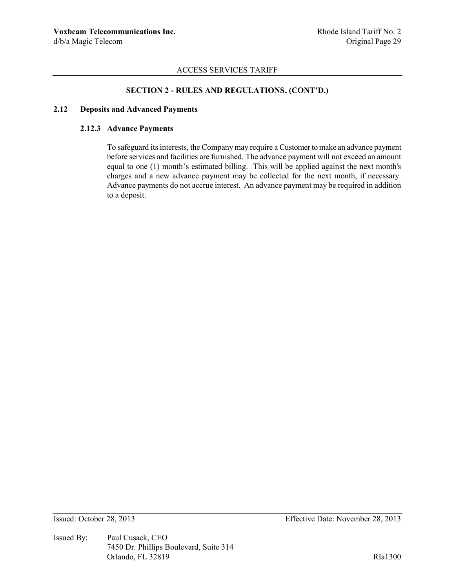## **SECTION 2 - RULES AND REGULATIONS, (CONT'D.)**

### **2.12 Deposits and Advanced Payments**

## **2.12.3 Advance Payments**

To safeguard its interests, the Company may require a Customer to make an advance payment before services and facilities are furnished. The advance payment will not exceed an amount equal to one (1) month's estimated billing. This will be applied against the next month's charges and a new advance payment may be collected for the next month, if necessary. Advance payments do not accrue interest. An advance payment may be required in addition to a deposit.

Issued By: Paul Cusack, CEO 7450 Dr. Phillips Boulevard, Suite 314 Orlando, FL 32819 RIa1300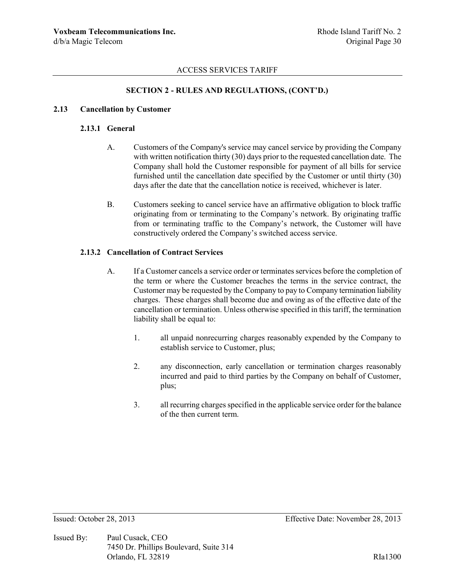# **SECTION 2 - RULES AND REGULATIONS, (CONT'D.)**

### **2.13 Cancellation by Customer**

### **2.13.1 General**

- A. Customers of the Company's service may cancel service by providing the Company with written notification thirty (30) days prior to the requested cancellation date. The Company shall hold the Customer responsible for payment of all bills for service furnished until the cancellation date specified by the Customer or until thirty (30) days after the date that the cancellation notice is received, whichever is later.
- B. Customers seeking to cancel service have an affirmative obligation to block traffic originating from or terminating to the Company's network. By originating traffic from or terminating traffic to the Company's network, the Customer will have constructively ordered the Company's switched access service.

### **2.13.2 Cancellation of Contract Services**

- A. If a Customer cancels a service order or terminates services before the completion of the term or where the Customer breaches the terms in the service contract, the Customer may be requested by the Company to pay to Company termination liability charges. These charges shall become due and owing as of the effective date of the cancellation or termination. Unless otherwise specified in this tariff, the termination liability shall be equal to:
	- 1. all unpaid nonrecurring charges reasonably expended by the Company to establish service to Customer, plus;
	- 2. any disconnection, early cancellation or termination charges reasonably incurred and paid to third parties by the Company on behalf of Customer, plus;
	- 3. all recurring charges specified in the applicable service order for the balance of the then current term.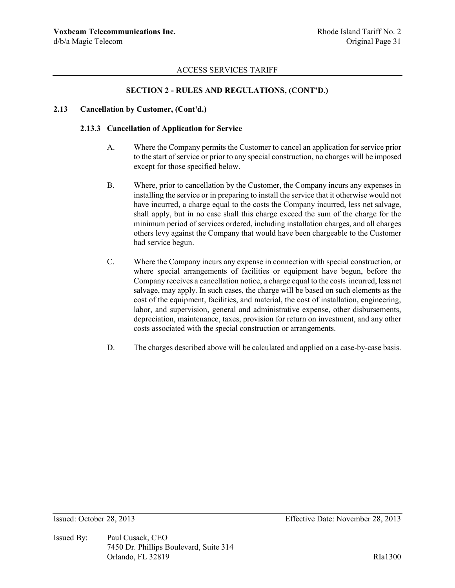## **SECTION 2 - RULES AND REGULATIONS, (CONT'D.)**

#### **2.13 Cancellation by Customer, (Cont'd.)**

### **2.13.3 Cancellation of Application for Service**

- A. Where the Company permits the Customer to cancel an application for service prior to the start of service or prior to any special construction, no charges will be imposed except for those specified below.
- B. Where, prior to cancellation by the Customer, the Company incurs any expenses in installing the service or in preparing to install the service that it otherwise would not have incurred, a charge equal to the costs the Company incurred, less net salvage, shall apply, but in no case shall this charge exceed the sum of the charge for the minimum period of services ordered, including installation charges, and all charges others levy against the Company that would have been chargeable to the Customer had service begun.
- C. Where the Company incurs any expense in connection with special construction, or where special arrangements of facilities or equipment have begun, before the Company receives a cancellation notice, a charge equal to the costs incurred, less net salvage, may apply. In such cases, the charge will be based on such elements as the cost of the equipment, facilities, and material, the cost of installation, engineering, labor, and supervision, general and administrative expense, other disbursements, depreciation, maintenance, taxes, provision for return on investment, and any other costs associated with the special construction or arrangements.
- D. The charges described above will be calculated and applied on a case-by-case basis.

Issued By: Paul Cusack, CEO 7450 Dr. Phillips Boulevard, Suite 314 Orlando, FL 32819 RIa1300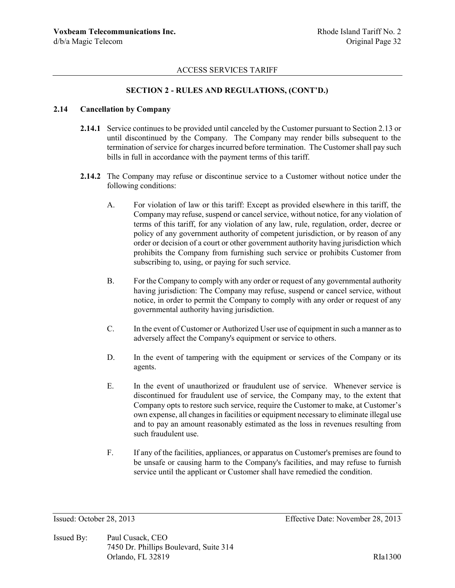## **SECTION 2 - RULES AND REGULATIONS, (CONT'D.)**

#### **2.14 Cancellation by Company**

- **2.14.1** Service continues to be provided until canceled by the Customer pursuant to Section 2.13 or until discontinued by the Company. The Company may render bills subsequent to the termination of service for charges incurred before termination. The Customer shall pay such bills in full in accordance with the payment terms of this tariff.
- **2.14.2** The Company may refuse or discontinue service to a Customer without notice under the following conditions:
	- A. For violation of law or this tariff: Except as provided elsewhere in this tariff, the Company may refuse, suspend or cancel service, without notice, for any violation of terms of this tariff, for any violation of any law, rule, regulation, order, decree or policy of any government authority of competent jurisdiction, or by reason of any order or decision of a court or other government authority having jurisdiction which prohibits the Company from furnishing such service or prohibits Customer from subscribing to, using, or paying for such service.
	- B. For the Company to comply with any order or request of any governmental authority having jurisdiction: The Company may refuse, suspend or cancel service, without notice, in order to permit the Company to comply with any order or request of any governmental authority having jurisdiction.
	- C. In the event of Customer or Authorized User use of equipment in such a manner as to adversely affect the Company's equipment or service to others.
	- D. In the event of tampering with the equipment or services of the Company or its agents.
	- E. In the event of unauthorized or fraudulent use of service. Whenever service is discontinued for fraudulent use of service, the Company may, to the extent that Company opts to restore such service, require the Customer to make, at Customer's own expense, all changes in facilities or equipment necessary to eliminate illegal use and to pay an amount reasonably estimated as the loss in revenues resulting from such fraudulent use.
	- F. If any of the facilities, appliances, or apparatus on Customer's premises are found to be unsafe or causing harm to the Company's facilities, and may refuse to furnish service until the applicant or Customer shall have remedied the condition.

Issued By: Paul Cusack, CEO 7450 Dr. Phillips Boulevard, Suite 314 Orlando, FL 32819 RIa1300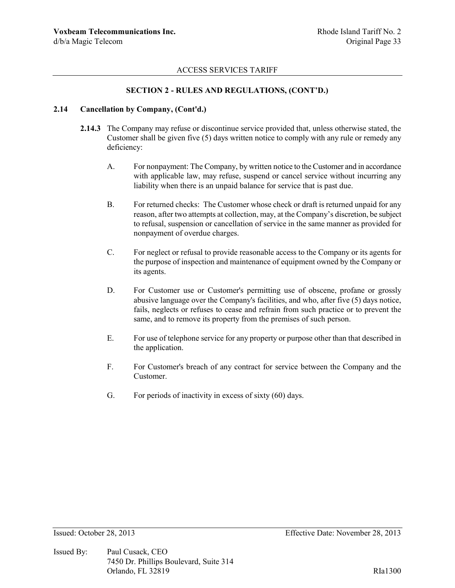### **SECTION 2 - RULES AND REGULATIONS, (CONT'D.)**

#### **2.14 Cancellation by Company, (Cont'd.)**

- **2.14.3** The Company may refuse or discontinue service provided that, unless otherwise stated, the Customer shall be given five (5) days written notice to comply with any rule or remedy any deficiency:
	- A. For nonpayment: The Company, by written notice to the Customer and in accordance with applicable law, may refuse, suspend or cancel service without incurring any liability when there is an unpaid balance for service that is past due.
	- B. For returned checks: The Customer whose check or draft is returned unpaid for any reason, after two attempts at collection, may, at the Company's discretion, be subject to refusal, suspension or cancellation of service in the same manner as provided for nonpayment of overdue charges.
	- C. For neglect or refusal to provide reasonable access to the Company or its agents for the purpose of inspection and maintenance of equipment owned by the Company or its agents.
	- D. For Customer use or Customer's permitting use of obscene, profane or grossly abusive language over the Company's facilities, and who, after five (5) days notice, fails, neglects or refuses to cease and refrain from such practice or to prevent the same, and to remove its property from the premises of such person.
	- E. For use of telephone service for any property or purpose other than that described in the application.
	- F. For Customer's breach of any contract for service between the Company and the Customer.
	- G. For periods of inactivity in excess of sixty (60) days.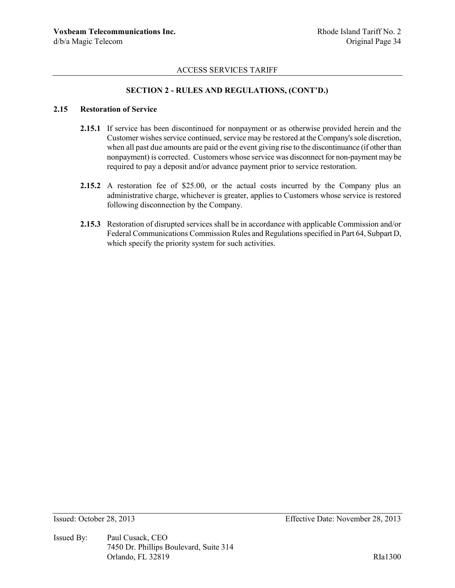## **SECTION 2 - RULES AND REGULATIONS, (CONT'D.)**

#### **2.15 Restoration of Service**

- **2.15.1** If service has been discontinued for nonpayment or as otherwise provided herein and the Customer wishes service continued, service may be restored at the Company's sole discretion, when all past due amounts are paid or the event giving rise to the discontinuance (if other than nonpayment) is corrected. Customers whose service was disconnect for non-payment may be required to pay a deposit and/or advance payment prior to service restoration.
- **2.15.2** A restoration fee of \$25.00, or the actual costs incurred by the Company plus an administrative charge, whichever is greater, applies to Customers whose service is restored following disconnection by the Company.
- **2.15.3** Restoration of disrupted services shall be in accordance with applicable Commission and/or Federal Communications Commission Rules and Regulations specified in Part 64, Subpart D, which specify the priority system for such activities.

Issued By: Paul Cusack, CEO 7450 Dr. Phillips Boulevard, Suite 314 Orlando, FL 32819 RIa1300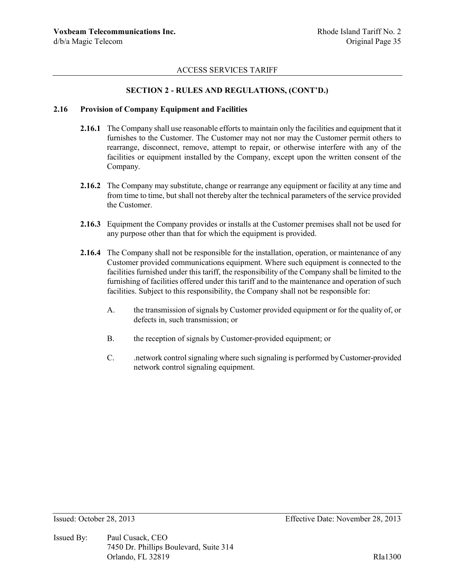### **SECTION 2 - RULES AND REGULATIONS, (CONT'D.)**

#### **2.16 Provision of Company Equipment and Facilities**

- **2.16.1** The Company shall use reasonable efforts to maintain only the facilities and equipment that it furnishes to the Customer. The Customer may not nor may the Customer permit others to rearrange, disconnect, remove, attempt to repair, or otherwise interfere with any of the facilities or equipment installed by the Company, except upon the written consent of the Company.
- **2.16.2** The Company may substitute, change or rearrange any equipment or facility at any time and from time to time, but shall not thereby alter the technical parameters of the service provided the Customer.
- **2.16.3** Equipment the Company provides or installs at the Customer premises shall not be used for any purpose other than that for which the equipment is provided.
- **2.16.4** The Company shall not be responsible for the installation, operation, or maintenance of any Customer provided communications equipment. Where such equipment is connected to the facilities furnished under this tariff, the responsibility of the Company shall be limited to the furnishing of facilities offered under this tariff and to the maintenance and operation of such facilities. Subject to this responsibility, the Company shall not be responsible for:
	- A. the transmission of signals by Customer provided equipment or for the quality of, or defects in, such transmission; or
	- B. the reception of signals by Customer-provided equipment; or
	- C. .network control signaling where such signaling is performed by Customer-provided network control signaling equipment.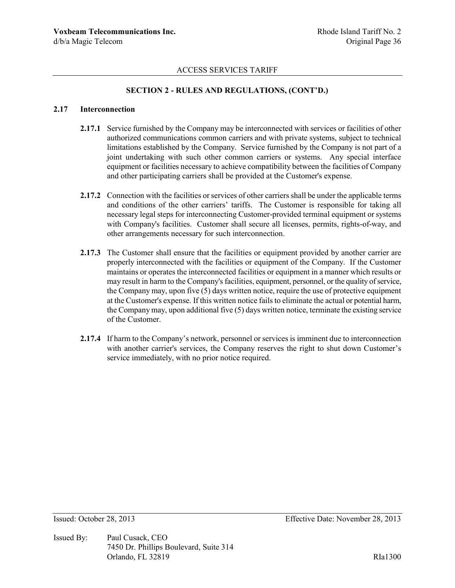# **SECTION 2 - RULES AND REGULATIONS, (CONT'D.)**

#### **2.17 Interconnection**

- 2.17.1 Service furnished by the Company may be interconnected with services or facilities of other authorized communications common carriers and with private systems, subject to technical limitations established by the Company. Service furnished by the Company is not part of a joint undertaking with such other common carriers or systems. Any special interface equipment or facilities necessary to achieve compatibility between the facilities of Company and other participating carriers shall be provided at the Customer's expense.
- **2.17.2** Connection with the facilities or services of other carriers shall be under the applicable terms and conditions of the other carriers' tariffs. The Customer is responsible for taking all necessary legal steps for interconnecting Customer-provided terminal equipment or systems with Company's facilities. Customer shall secure all licenses, permits, rights-of-way, and other arrangements necessary for such interconnection.
- **2.17.3** The Customer shall ensure that the facilities or equipment provided by another carrier are properly interconnected with the facilities or equipment of the Company. If the Customer maintains or operates the interconnected facilities or equipment in a manner which results or may result in harm to the Company's facilities, equipment, personnel, or the quality of service, the Company may, upon five (5) days written notice, require the use of protective equipment at the Customer's expense. If this written notice fails to eliminate the actual or potential harm, the Company may, upon additional five (5) days written notice, terminate the existing service of the Customer.
- **2.17.4** If harm to the Company's network, personnel or services is imminent due to interconnection with another carrier's services, the Company reserves the right to shut down Customer's service immediately, with no prior notice required.

Issued By: Paul Cusack, CEO 7450 Dr. Phillips Boulevard, Suite 314 Orlando, FL 32819 RIa1300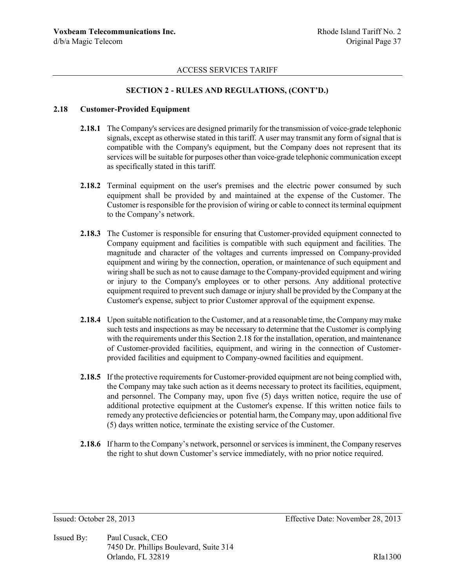## **SECTION 2 - RULES AND REGULATIONS, (CONT'D.)**

#### **2.18 Customer-Provided Equipment**

- **2.18.1** The Company's services are designed primarily for the transmission of voice-grade telephonic signals, except as otherwise stated in this tariff. A user may transmit any form of signal that is compatible with the Company's equipment, but the Company does not represent that its services will be suitable for purposes other than voice-grade telephonic communication except as specifically stated in this tariff.
- **2.18.2** Terminal equipment on the user's premises and the electric power consumed by such equipment shall be provided by and maintained at the expense of the Customer. The Customer is responsible for the provision of wiring or cable to connect its terminal equipment to the Company's network.
- **2.18.3** The Customer is responsible for ensuring that Customer-provided equipment connected to Company equipment and facilities is compatible with such equipment and facilities. The magnitude and character of the voltages and currents impressed on Company-provided equipment and wiring by the connection, operation, or maintenance of such equipment and wiring shall be such as not to cause damage to the Company-provided equipment and wiring or injury to the Company's employees or to other persons. Any additional protective equipment required to prevent such damage or injury shall be provided by the Company at the Customer's expense, subject to prior Customer approval of the equipment expense.
- **2.18.4** Upon suitable notification to the Customer, and at a reasonable time, the Company may make such tests and inspections as may be necessary to determine that the Customer is complying with the requirements under this Section 2.18 for the installation, operation, and maintenance of Customer-provided facilities, equipment, and wiring in the connection of Customerprovided facilities and equipment to Company-owned facilities and equipment.
- **2.18.5** If the protective requirements for Customer-provided equipment are not being complied with, the Company may take such action as it deems necessary to protect its facilities, equipment, and personnel. The Company may, upon five (5) days written notice, require the use of additional protective equipment at the Customer's expense. If this written notice fails to remedy any protective deficiencies or potential harm, the Company may, upon additional five (5) days written notice, terminate the existing service of the Customer.
- **2.18.6** If harm to the Company's network, personnel or services is imminent, the Company reserves the right to shut down Customer's service immediately, with no prior notice required.

Issued By: Paul Cusack, CEO 7450 Dr. Phillips Boulevard, Suite 314 Orlando, FL 32819 RIa1300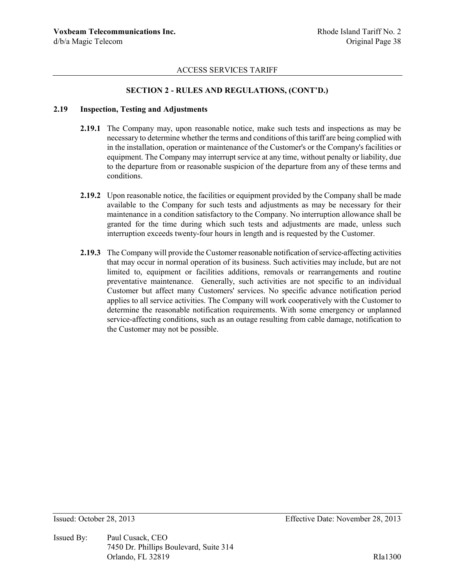## **SECTION 2 - RULES AND REGULATIONS, (CONT'D.)**

#### **2.19 Inspection, Testing and Adjustments**

- **2.19.1** The Company may, upon reasonable notice, make such tests and inspections as may be necessary to determine whether the terms and conditions of this tariff are being complied with in the installation, operation or maintenance of the Customer's or the Company's facilities or equipment. The Company may interrupt service at any time, without penalty or liability, due to the departure from or reasonable suspicion of the departure from any of these terms and conditions.
- **2.19.2** Upon reasonable notice, the facilities or equipment provided by the Company shall be made available to the Company for such tests and adjustments as may be necessary for their maintenance in a condition satisfactory to the Company. No interruption allowance shall be granted for the time during which such tests and adjustments are made, unless such interruption exceeds twenty-four hours in length and is requested by the Customer.
- **2.19.3** The Company will provide the Customer reasonable notification of service-affecting activities that may occur in normal operation of its business. Such activities may include, but are not limited to, equipment or facilities additions, removals or rearrangements and routine preventative maintenance. Generally, such activities are not specific to an individual Customer but affect many Customers' services. No specific advance notification period applies to all service activities. The Company will work cooperatively with the Customer to determine the reasonable notification requirements. With some emergency or unplanned service-affecting conditions, such as an outage resulting from cable damage, notification to the Customer may not be possible.

Issued By: Paul Cusack, CEO 7450 Dr. Phillips Boulevard, Suite 314 Orlando, FL 32819 RIa1300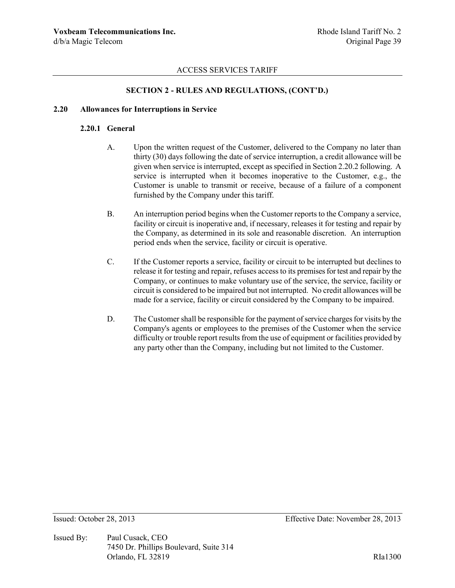## **SECTION 2 - RULES AND REGULATIONS, (CONT'D.)**

#### **2.20 Allowances for Interruptions in Service**

## **2.20.1 General**

- A. Upon the written request of the Customer, delivered to the Company no later than thirty (30) days following the date of service interruption, a credit allowance will be given when service is interrupted, except as specified in Section 2.20.2 following. A service is interrupted when it becomes inoperative to the Customer, e.g., the Customer is unable to transmit or receive, because of a failure of a component furnished by the Company under this tariff.
- B. An interruption period begins when the Customer reports to the Company a service, facility or circuit is inoperative and, if necessary, releases it for testing and repair by the Company, as determined in its sole and reasonable discretion. An interruption period ends when the service, facility or circuit is operative.
- C. If the Customer reports a service, facility or circuit to be interrupted but declines to release it for testing and repair, refuses access to its premises for test and repair by the Company, or continues to make voluntary use of the service, the service, facility or circuit is considered to be impaired but not interrupted. No credit allowances will be made for a service, facility or circuit considered by the Company to be impaired.
- D. The Customer shall be responsible for the payment of service charges for visits by the Company's agents or employees to the premises of the Customer when the service difficulty or trouble report results from the use of equipment or facilities provided by any party other than the Company, including but not limited to the Customer.

Issued By: Paul Cusack, CEO 7450 Dr. Phillips Boulevard, Suite 314 Orlando, FL 32819 RIa1300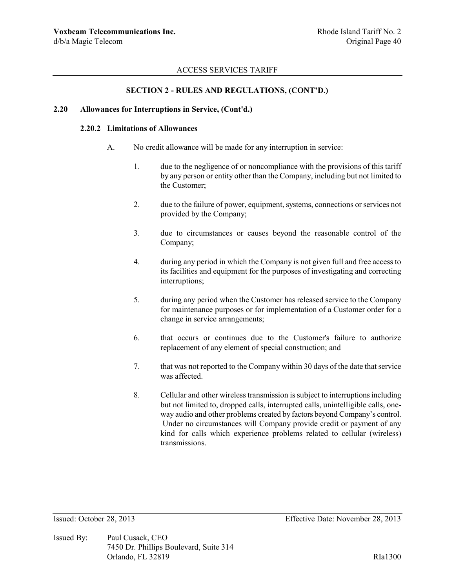## **SECTION 2 - RULES AND REGULATIONS, (CONT'D.)**

#### **2.20 Allowances for Interruptions in Service, (Cont'd.)**

### **2.20.2 Limitations of Allowances**

- A. No credit allowance will be made for any interruption in service:
	- 1. due to the negligence of or noncompliance with the provisions of this tariff by any person or entity other than the Company, including but not limited to the Customer;
	- 2. due to the failure of power, equipment, systems, connections or services not provided by the Company;
	- 3. due to circumstances or causes beyond the reasonable control of the Company;
	- 4. during any period in which the Company is not given full and free access to its facilities and equipment for the purposes of investigating and correcting interruptions;
	- 5. during any period when the Customer has released service to the Company for maintenance purposes or for implementation of a Customer order for a change in service arrangements;
	- 6. that occurs or continues due to the Customer's failure to authorize replacement of any element of special construction; and
	- 7. that was not reported to the Company within 30 days of the date that service was affected.
	- 8. Cellular and other wireless transmission is subject to interruptions including but not limited to, dropped calls, interrupted calls, unintelligible calls, oneway audio and other problems created by factors beyond Company's control. Under no circumstances will Company provide credit or payment of any kind for calls which experience problems related to cellular (wireless) transmissions.

Issued By: Paul Cusack, CEO 7450 Dr. Phillips Boulevard, Suite 314 Orlando, FL 32819 RIa1300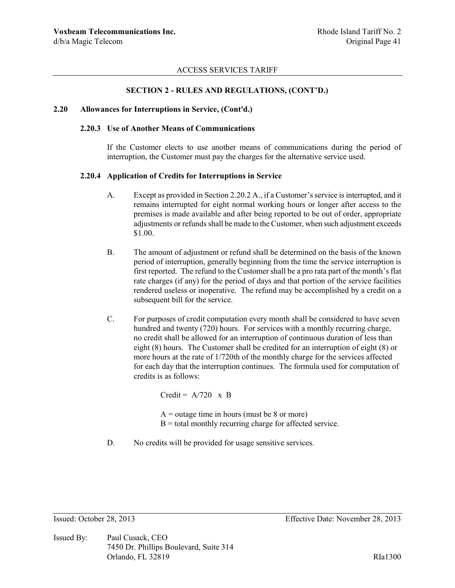#### **SECTION 2 - RULES AND REGULATIONS, (CONT'D.)**

#### **2.20 Allowances for Interruptions in Service, (Cont'd.)**

### **2.20.3 Use of Another Means of Communications**

If the Customer elects to use another means of communications during the period of interruption, the Customer must pay the charges for the alternative service used.

#### **2.20.4 Application of Credits for Interruptions in Service**

- A. Except as provided in Section 2.20.2 A., if a Customer's service is interrupted, and it remains interrupted for eight normal working hours or longer after access to the premises is made available and after being reported to be out of order, appropriate adjustments or refunds shall be made to the Customer, when such adjustment exceeds \$1.00.
- B. The amount of adjustment or refund shall be determined on the basis of the known period of interruption, generally beginning from the time the service interruption is first reported. The refund to the Customer shall be a pro rata part of the month's flat rate charges (if any) for the period of days and that portion of the service facilities rendered useless or inoperative. The refund may be accomplished by a credit on a subsequent bill for the service.
- C. For purposes of credit computation every month shall be considered to have seven hundred and twenty (720) hours. For services with a monthly recurring charge, no credit shall be allowed for an interruption of continuous duration of less than eight (8) hours. The Customer shall be credited for an interruption of eight (8) or more hours at the rate of 1/720th of the monthly charge for the services affected for each day that the interruption continues. The formula used for computation of credits is as follows:

Credit =  $A/720 \times B$ 

 $A =$  outage time in hours (must be 8 or more)  $B =$  total monthly recurring charge for affected service.

D. No credits will be provided for usage sensitive services.

Issued By: Paul Cusack, CEO 7450 Dr. Phillips Boulevard, Suite 314 Orlando, FL 32819 RIa1300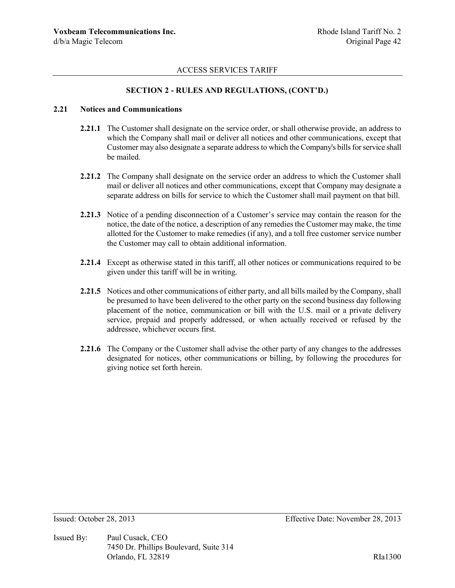## **SECTION 2 - RULES AND REGULATIONS, (CONT'D.)**

#### **2.21 Notices and Communications**

- **2.21.1** The Customer shall designate on the service order, or shall otherwise provide, an address to which the Company shall mail or deliver all notices and other communications, except that Customer may also designate a separate address to which the Company's bills for service shall be mailed.
- **2.21.2** The Company shall designate on the service order an address to which the Customer shall mail or deliver all notices and other communications, except that Company may designate a separate address on bills for service to which the Customer shall mail payment on that bill.
- **2.21.3** Notice of a pending disconnection of a Customer's service may contain the reason for the notice, the date of the notice, a description of any remedies the Customer may make, the time allotted for the Customer to make remedies (if any), and a toll free customer service number the Customer may call to obtain additional information.
- **2.21.4** Except as otherwise stated in this tariff, all other notices or communications required to be given under this tariff will be in writing.
- **2.21.5** Notices and other communications of either party, and all bills mailed by the Company, shall be presumed to have been delivered to the other party on the second business day following placement of the notice, communication or bill with the U.S. mail or a private delivery service, prepaid and properly addressed, or when actually received or refused by the addressee, whichever occurs first.
- **2.21.6** The Company or the Customer shall advise the other party of any changes to the addresses designated for notices, other communications or billing, by following the procedures for giving notice set forth herein.

Issued By: Paul Cusack, CEO 7450 Dr. Phillips Boulevard, Suite 314 Orlando, FL 32819 RIa1300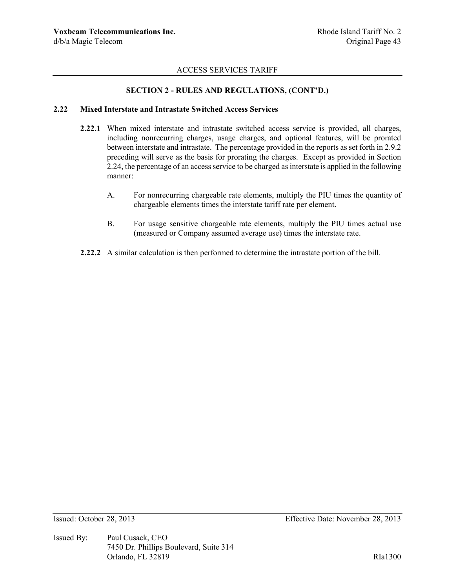## **SECTION 2 - RULES AND REGULATIONS, (CONT'D.)**

#### **2.22 Mixed Interstate and Intrastate Switched Access Services**

- **2.22.1** When mixed interstate and intrastate switched access service is provided, all charges, including nonrecurring charges, usage charges, and optional features, will be prorated between interstate and intrastate. The percentage provided in the reports as set forth in 2.9.2 preceding will serve as the basis for prorating the charges. Except as provided in Section 2.24, the percentage of an access service to be charged as interstate is applied in the following manner:
	- A. For nonrecurring chargeable rate elements, multiply the PIU times the quantity of chargeable elements times the interstate tariff rate per element.
	- B. For usage sensitive chargeable rate elements, multiply the PIU times actual use (measured or Company assumed average use) times the interstate rate.
- **2.22.2** A similar calculation is then performed to determine the intrastate portion of the bill.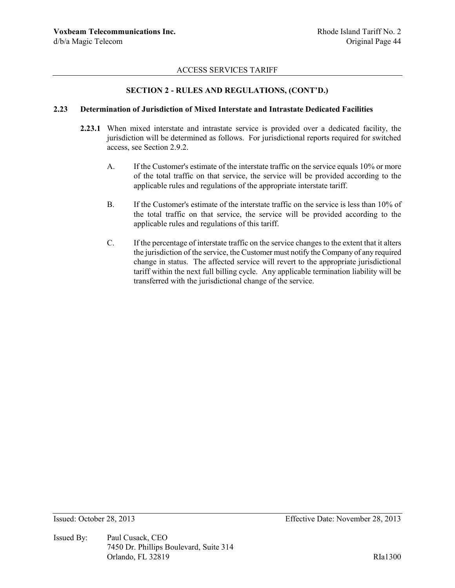## **SECTION 2 - RULES AND REGULATIONS, (CONT'D.)**

#### **2.23 Determination of Jurisdiction of Mixed Interstate and Intrastate Dedicated Facilities**

- **2.23.1** When mixed interstate and intrastate service is provided over a dedicated facility, the jurisdiction will be determined as follows. For jurisdictional reports required for switched access, see Section 2.9.2.
	- A. If the Customer's estimate of the interstate traffic on the service equals 10% or more of the total traffic on that service, the service will be provided according to the applicable rules and regulations of the appropriate interstate tariff.
	- B. If the Customer's estimate of the interstate traffic on the service is less than 10% of the total traffic on that service, the service will be provided according to the applicable rules and regulations of this tariff.
	- C. If the percentage of interstate traffic on the service changes to the extent that it alters the jurisdiction of the service, the Customer must notify the Company of any required change in status. The affected service will revert to the appropriate jurisdictional tariff within the next full billing cycle. Any applicable termination liability will be transferred with the jurisdictional change of the service.

Issued By: Paul Cusack, CEO 7450 Dr. Phillips Boulevard, Suite 314 Orlando, FL 32819 RIa1300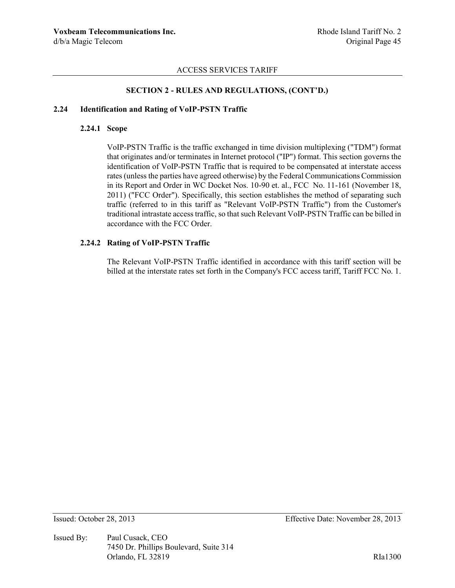## **SECTION 2 - RULES AND REGULATIONS, (CONT'D.)**

# **2.24 Identification and Rating of VoIP-PSTN Traffic**

## **2.24.1 Scope**

VoIP-PSTN Traffic is the traffic exchanged in time division multiplexing ("TDM") format that originates and/or terminates in Internet protocol ("IP") format. This section governs the identification of VoIP-PSTN Traffic that is required to be compensated at interstate access rates (unless the parties have agreed otherwise) by the Federal Communications Commission in its Report and Order in WC Docket Nos. 10-90 et. al., FCC No. 11-161 (November 18, 2011) ("FCC Order"). Specifically, this section establishes the method of separating such traffic (referred to in this tariff as "Relevant VoIP-PSTN Traffic") from the Customer's traditional intrastate access traffic, so that such Relevant VoIP-PSTN Traffic can be billed in accordance with the FCC Order.

## **2.24.2 Rating of VoIP-PSTN Traffic**

The Relevant VoIP-PSTN Traffic identified in accordance with this tariff section will be billed at the interstate rates set forth in the Company's FCC access tariff, Tariff FCC No. 1.

Issued By: Paul Cusack, CEO 7450 Dr. Phillips Boulevard, Suite 314 Orlando, FL 32819 RIa1300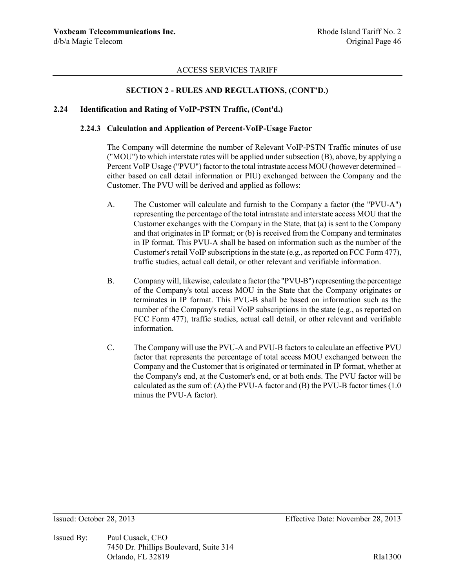## **SECTION 2 - RULES AND REGULATIONS, (CONT'D.)**

#### **2.24 Identification and Rating of VoIP-PSTN Traffic, (Cont'd.)**

#### **2.24.3 Calculation and Application of Percent-VoIP-Usage Factor**

The Company will determine the number of Relevant VoIP-PSTN Traffic minutes of use ("MOU") to which interstate rates will be applied under subsection (B), above, by applying a Percent VoIP Usage ("PVU") factor to the total intrastate access MOU (however determined – either based on call detail information or PIU) exchanged between the Company and the Customer. The PVU will be derived and applied as follows:

- A. The Customer will calculate and furnish to the Company a factor (the "PVU-A") representing the percentage of the total intrastate and interstate access MOU that the Customer exchanges with the Company in the State, that (a) is sent to the Company and that originates in IP format; or (b) is received from the Company and terminates in IP format. This PVU-A shall be based on information such as the number of the Customer's retail VoIP subscriptions in the state (e.g., as reported on FCC Form 477), traffic studies, actual call detail, or other relevant and verifiable information.
- B. Company will, likewise, calculate a factor (the "PVU-B") representing the percentage of the Company's total access MOU in the State that the Company originates or terminates in IP format. This PVU-B shall be based on information such as the number of the Company's retail VoIP subscriptions in the state (e.g., as reported on FCC Form 477), traffic studies, actual call detail, or other relevant and verifiable information.
- C. The Company will use the PVU-A and PVU-B factors to calculate an effective PVU factor that represents the percentage of total access MOU exchanged between the Company and the Customer that is originated or terminated in IP format, whether at the Company's end, at the Customer's end, or at both ends. The PVU factor will be calculated as the sum of: (A) the PVU-A factor and (B) the PVU-B factor times (1.0 minus the PVU-A factor).

Issued By: Paul Cusack, CEO 7450 Dr. Phillips Boulevard, Suite 314 Orlando, FL 32819 RIa1300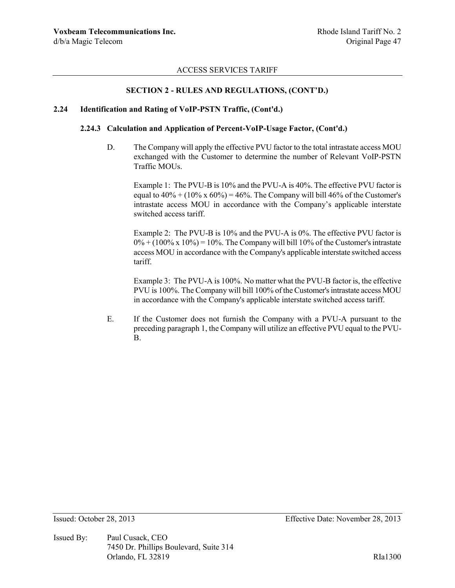# **SECTION 2 - RULES AND REGULATIONS, (CONT'D.)**

#### **2.24 Identification and Rating of VoIP-PSTN Traffic, (Cont'd.)**

### **2.24.3 Calculation and Application of Percent-VoIP-Usage Factor, (Cont'd.)**

D. The Company will apply the effective PVU factor to the total intrastate access MOU exchanged with the Customer to determine the number of Relevant VoIP-PSTN Traffic MOUs.

Example 1: The PVU-B is 10% and the PVU-A is 40%. The effective PVU factor is equal to  $40\% + (10\% \times 60\%) = 46\%$ . The Company will bill 46% of the Customer's intrastate access MOU in accordance with the Company's applicable interstate switched access tariff.

Example 2: The PVU-B is 10% and the PVU-A is 0%. The effective PVU factor is  $0\% + (100\% \times 10\%) = 10\%$ . The Company will bill 10% of the Customer's intrastate access MOU in accordance with the Company's applicable interstate switched access tariff.

Example 3: The PVU-A is 100%. No matter what the PVU-B factor is, the effective PVU is 100%. The Company will bill 100% of the Customer's intrastate access MOU in accordance with the Company's applicable interstate switched access tariff.

E. If the Customer does not furnish the Company with a PVU-A pursuant to the preceding paragraph 1, the Company will utilize an effective PVU equal to the PVU-B.

Issued By: Paul Cusack, CEO 7450 Dr. Phillips Boulevard, Suite 314 Orlando, FL 32819 RIa1300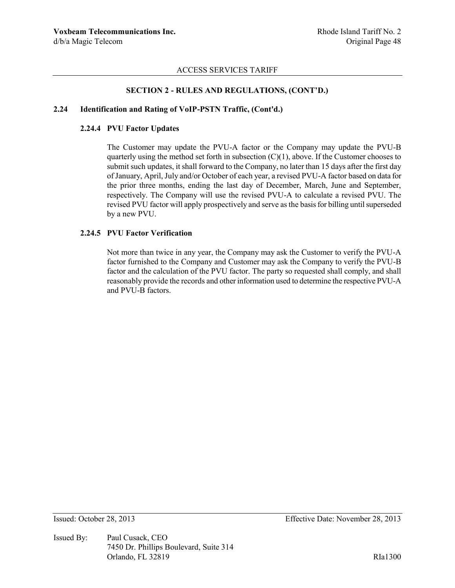### **SECTION 2 - RULES AND REGULATIONS, (CONT'D.)**

### **2.24 Identification and Rating of VoIP-PSTN Traffic, (Cont'd.)**

### **2.24.4 PVU Factor Updates**

The Customer may update the PVU-A factor or the Company may update the PVU-B quarterly using the method set forth in subsection  $(C)(1)$ , above. If the Customer chooses to submit such updates, it shall forward to the Company, no later than 15 days after the first day of January, April, July and/or October of each year, a revised PVU-A factor based on data for the prior three months, ending the last day of December, March, June and September, respectively. The Company will use the revised PVU-A to calculate a revised PVU. The revised PVU factor will apply prospectively and serve as the basis for billing until superseded by a new PVU.

#### **2.24.5 PVU Factor Verification**

Not more than twice in any year, the Company may ask the Customer to verify the PVU-A factor furnished to the Company and Customer may ask the Company to verify the PVU-B factor and the calculation of the PVU factor. The party so requested shall comply, and shall reasonably provide the records and other information used to determine the respective PVU-A and PVU-B factors.

Issued By: Paul Cusack, CEO 7450 Dr. Phillips Boulevard, Suite 314 Orlando, FL 32819 RIa1300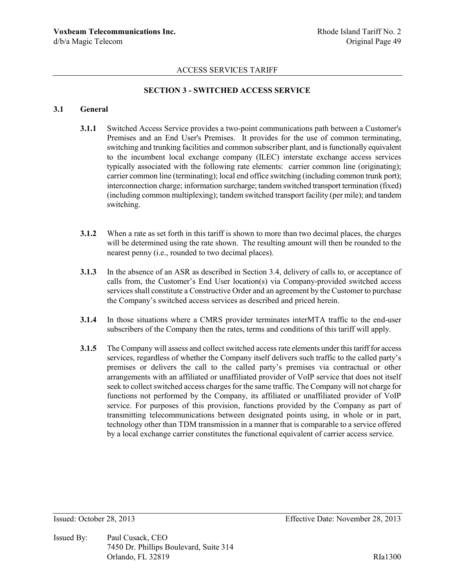# **SECTION 3 - SWITCHED ACCESS SERVICE**

#### **3.1 General**

- **3.1.1** Switched Access Service provides a two-point communications path between a Customer's Premises and an End User's Premises. It provides for the use of common terminating, switching and trunking facilities and common subscriber plant, and is functionally equivalent to the incumbent local exchange company (ILEC) interstate exchange access services typically associated with the following rate elements: carrier common line (originating); carrier common line (terminating); local end office switching (including common trunk port); interconnection charge; information surcharge; tandem switched transport termination (fixed) (including common multiplexing); tandem switched transport facility (per mile); and tandem switching.
- **3.1.2** When a rate as set forth in this tariff is shown to more than two decimal places, the charges will be determined using the rate shown. The resulting amount will then be rounded to the nearest penny (i.e., rounded to two decimal places).
- **3.1.3** In the absence of an ASR as described in Section 3.4, delivery of calls to, or acceptance of calls from, the Customer's End User location(s) via Company-provided switched access services shall constitute a Constructive Order and an agreement by the Customer to purchase the Company's switched access services as described and priced herein.
- **3.1.4** In those situations where a CMRS provider terminates interMTA traffic to the end-user subscribers of the Company then the rates, terms and conditions of this tariff will apply.
- **3.1.5** The Company will assess and collect switched access rate elements under this tariff for access services, regardless of whether the Company itself delivers such traffic to the called party's premises or delivers the call to the called party's premises via contractual or other arrangements with an affiliated or unaffiliated provider of VoIP service that does not itself seek to collect switched access charges for the same traffic. The Company will not charge for functions not performed by the Company, its affiliated or unaffiliated provider of VoIP service. For purposes of this provision, functions provided by the Company as part of transmitting telecommunications between designated points using, in whole or in part, technology other than TDM transmission in a manner that is comparable to a service offered by a local exchange carrier constitutes the functional equivalent of carrier access service.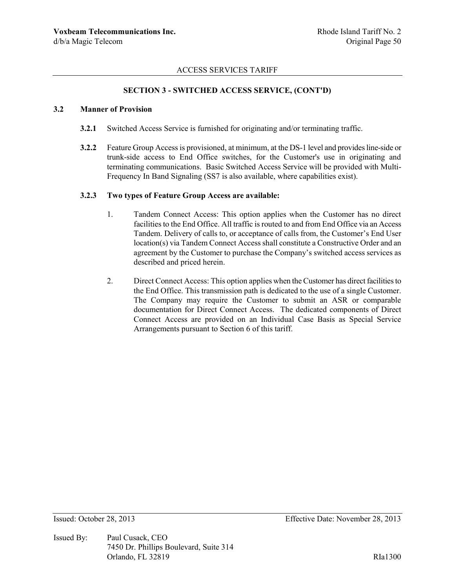### **SECTION 3 - SWITCHED ACCESS SERVICE, (CONT'D)**

### **3.2 Manner of Provision**

- **3.2.1** Switched Access Service is furnished for originating and/or terminating traffic.
- **3.2.2** Feature Group Access is provisioned, at minimum, at the DS-1 level and provides line-side or trunk-side access to End Office switches, for the Customer's use in originating and terminating communications. Basic Switched Access Service will be provided with Multi-Frequency In Band Signaling (SS7 is also available, where capabilities exist).

#### **3.2.3 Two types of Feature Group Access are available:**

- 1. Tandem Connect Access: This option applies when the Customer has no direct facilities to the End Office. All traffic is routed to and from End Office via an Access Tandem. Delivery of calls to, or acceptance of calls from, the Customer's End User location(s) via Tandem Connect Access shall constitute a Constructive Order and an agreement by the Customer to purchase the Company's switched access services as described and priced herein.
- 2. Direct Connect Access: This option applies when the Customer has direct facilities to the End Office. This transmission path is dedicated to the use of a single Customer. The Company may require the Customer to submit an ASR or comparable documentation for Direct Connect Access. The dedicated components of Direct Connect Access are provided on an Individual Case Basis as Special Service Arrangements pursuant to Section 6 of this tariff.

Issued By: Paul Cusack, CEO 7450 Dr. Phillips Boulevard, Suite 314 Orlando, FL 32819 RIa1300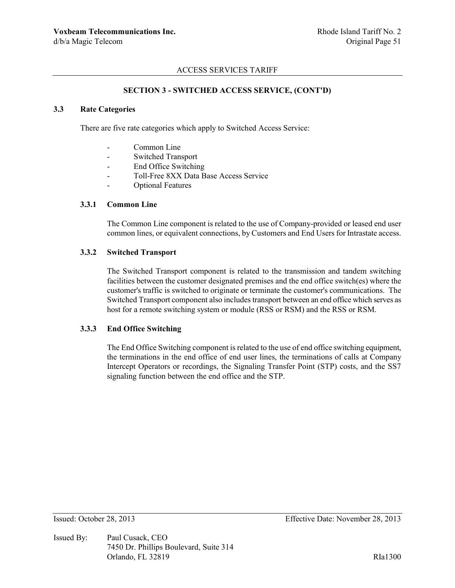### **SECTION 3 - SWITCHED ACCESS SERVICE, (CONT'D)**

# **3.3 Rate Categories**

There are five rate categories which apply to Switched Access Service:

- Common Line
- Switched Transport
- End Office Switching
- Toll-Free 8XX Data Base Access Service
- Optional Features

### **3.3.1 Common Line**

The Common Line component is related to the use of Company-provided or leased end user common lines, or equivalent connections, by Customers and End Users for Intrastate access.

#### **3.3.2 Switched Transport**

The Switched Transport component is related to the transmission and tandem switching facilities between the customer designated premises and the end office switch(es) where the customer's traffic is switched to originate or terminate the customer's communications. The Switched Transport component also includes transport between an end office which serves as host for a remote switching system or module (RSS or RSM) and the RSS or RSM.

## **3.3.3 End Office Switching**

The End Office Switching component is related to the use of end office switching equipment, the terminations in the end office of end user lines, the terminations of calls at Company Intercept Operators or recordings, the Signaling Transfer Point (STP) costs, and the SS7 signaling function between the end office and the STP.

Issued By: Paul Cusack, CEO 7450 Dr. Phillips Boulevard, Suite 314 Orlando, FL 32819 RIa1300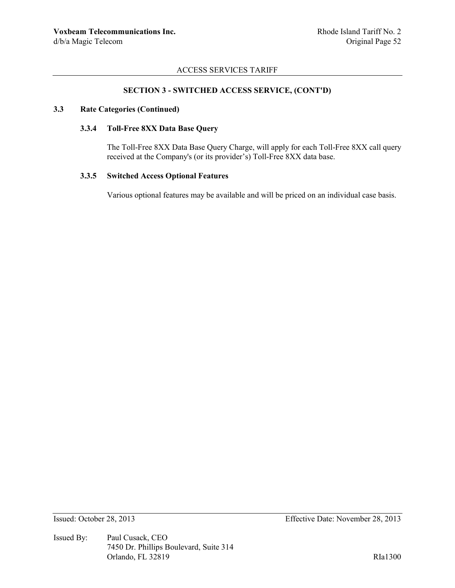### **SECTION 3 - SWITCHED ACCESS SERVICE, (CONT'D)**

### **3.3 Rate Categories (Continued)**

### **3.3.4 Toll-Free 8XX Data Base Query**

The Toll-Free 8XX Data Base Query Charge, will apply for each Toll-Free 8XX call query received at the Company's (or its provider's) Toll-Free 8XX data base.

# **3.3.5 Switched Access Optional Features**

Various optional features may be available and will be priced on an individual case basis.

Issued By: Paul Cusack, CEO 7450 Dr. Phillips Boulevard, Suite 314 Orlando, FL 32819 RIa1300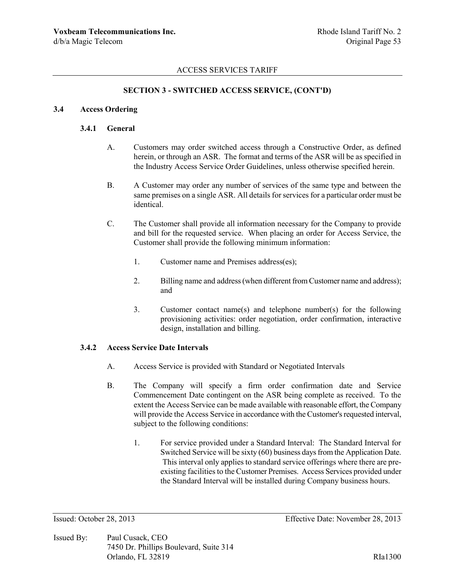### **SECTION 3 - SWITCHED ACCESS SERVICE, (CONT'D)**

#### **3.4 Access Ordering**

#### **3.4.1 General**

- A. Customers may order switched access through a Constructive Order, as defined herein, or through an ASR. The format and terms of the ASR will be as specified in the Industry Access Service Order Guidelines, unless otherwise specified herein.
- B. A Customer may order any number of services of the same type and between the same premises on a single ASR. All details for services for a particular order must be identical.
- C. The Customer shall provide all information necessary for the Company to provide and bill for the requested service. When placing an order for Access Service, the Customer shall provide the following minimum information:
	- 1. Customer name and Premises address(es);
	- 2. Billing name and address (when different from Customer name and address); and
	- 3. Customer contact name(s) and telephone number(s) for the following provisioning activities: order negotiation, order confirmation, interactive design, installation and billing.

### **3.4.2 Access Service Date Intervals**

- A. Access Service is provided with Standard or Negotiated Intervals
- B. The Company will specify a firm order confirmation date and Service Commencement Date contingent on the ASR being complete as received. To the extent the Access Service can be made available with reasonable effort, the Company will provide the Access Service in accordance with the Customer's requested interval, subject to the following conditions:
	- 1. For service provided under a Standard Interval: The Standard Interval for Switched Service will be sixty (60) business days from the Application Date. This interval only applies to standard service offerings where there are preexisting facilities to the Customer Premises. Access Services provided under the Standard Interval will be installed during Company business hours.

Issued By: Paul Cusack, CEO 7450 Dr. Phillips Boulevard, Suite 314 Orlando, FL 32819 RIa1300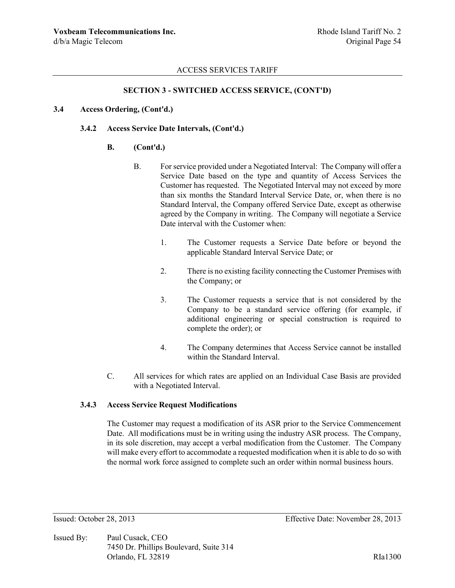## **SECTION 3 - SWITCHED ACCESS SERVICE, (CONT'D)**

## **3.4 Access Ordering, (Cont'd.)**

### **3.4.2 Access Service Date Intervals, (Cont'd.)**

### **B. (Cont'd.)**

- B. For service provided under a Negotiated Interval: The Company will offer a Service Date based on the type and quantity of Access Services the Customer has requested. The Negotiated Interval may not exceed by more than six months the Standard Interval Service Date, or, when there is no Standard Interval, the Company offered Service Date, except as otherwise agreed by the Company in writing. The Company will negotiate a Service Date interval with the Customer when:
	- 1. The Customer requests a Service Date before or beyond the applicable Standard Interval Service Date; or
	- 2. There is no existing facility connecting the Customer Premises with the Company; or
	- 3. The Customer requests a service that is not considered by the Company to be a standard service offering (for example, if additional engineering or special construction is required to complete the order); or
	- 4. The Company determines that Access Service cannot be installed within the Standard Interval.
- C. All services for which rates are applied on an Individual Case Basis are provided with a Negotiated Interval.

#### **3.4.3 Access Service Request Modifications**

The Customer may request a modification of its ASR prior to the Service Commencement Date. All modifications must be in writing using the industry ASR process. The Company, in its sole discretion, may accept a verbal modification from the Customer. The Company will make every effort to accommodate a requested modification when it is able to do so with the normal work force assigned to complete such an order within normal business hours.

Issued By: Paul Cusack, CEO 7450 Dr. Phillips Boulevard, Suite 314 Orlando, FL 32819 RIa1300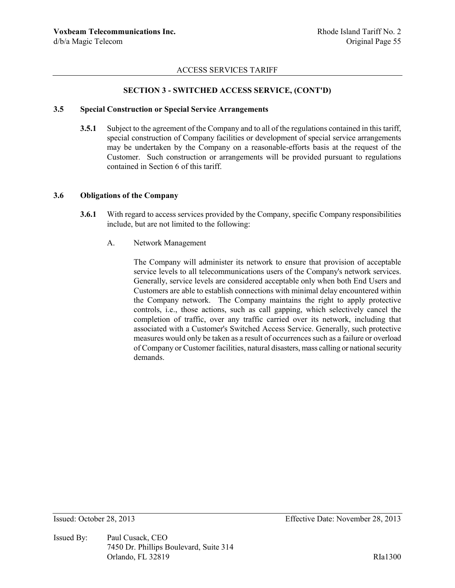### **SECTION 3 - SWITCHED ACCESS SERVICE, (CONT'D)**

### **3.5 Special Construction or Special Service Arrangements**

**3.5.1** Subject to the agreement of the Company and to all of the regulations contained in this tariff, special construction of Company facilities or development of special service arrangements may be undertaken by the Company on a reasonable-efforts basis at the request of the Customer. Such construction or arrangements will be provided pursuant to regulations contained in Section 6 of this tariff.

# **3.6 Obligations of the Company**

- **3.6.1** With regard to access services provided by the Company, specific Company responsibilities include, but are not limited to the following:
	- A. Network Management

The Company will administer its network to ensure that provision of acceptable service levels to all telecommunications users of the Company's network services. Generally, service levels are considered acceptable only when both End Users and Customers are able to establish connections with minimal delay encountered within the Company network. The Company maintains the right to apply protective controls, i.e., those actions, such as call gapping, which selectively cancel the completion of traffic, over any traffic carried over its network, including that associated with a Customer's Switched Access Service. Generally, such protective measures would only be taken as a result of occurrences such as a failure or overload of Company or Customer facilities, natural disasters, mass calling or national security demands.

Issued By: Paul Cusack, CEO 7450 Dr. Phillips Boulevard, Suite 314 Orlando, FL 32819 RIa1300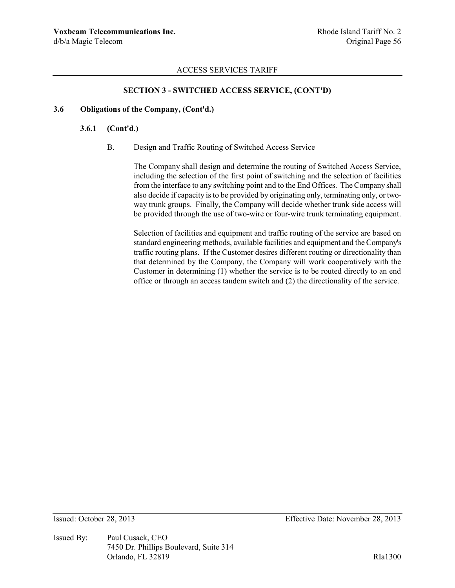## **SECTION 3 - SWITCHED ACCESS SERVICE, (CONT'D)**

#### **3.6 Obligations of the Company, (Cont'd.)**

### **3.6.1 (Cont'd.)**

B. Design and Traffic Routing of Switched Access Service

The Company shall design and determine the routing of Switched Access Service, including the selection of the first point of switching and the selection of facilities from the interface to any switching point and to the End Offices. The Company shall also decide if capacity is to be provided by originating only, terminating only, or twoway trunk groups. Finally, the Company will decide whether trunk side access will be provided through the use of two-wire or four-wire trunk terminating equipment.

Selection of facilities and equipment and traffic routing of the service are based on standard engineering methods, available facilities and equipment and the Company's traffic routing plans. If the Customer desires different routing or directionality than that determined by the Company, the Company will work cooperatively with the Customer in determining (1) whether the service is to be routed directly to an end office or through an access tandem switch and (2) the directionality of the service.

Issued By: Paul Cusack, CEO 7450 Dr. Phillips Boulevard, Suite 314 Orlando, FL 32819 RIa1300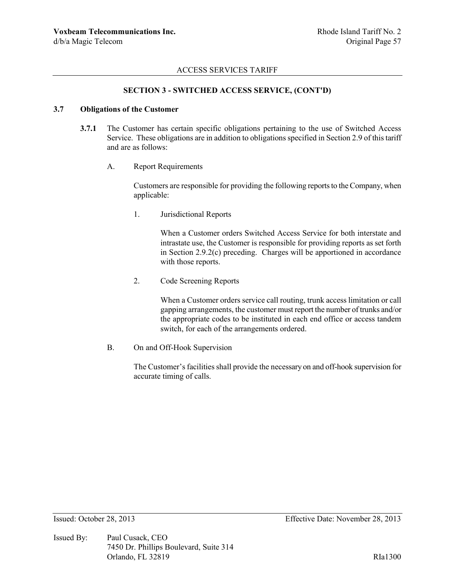## **SECTION 3 - SWITCHED ACCESS SERVICE, (CONT'D)**

#### **3.7 Obligations of the Customer**

- **3.7.1** The Customer has certain specific obligations pertaining to the use of Switched Access Service. These obligations are in addition to obligations specified in Section 2.9 of this tariff and are as follows:
	- A. Report Requirements

Customers are responsible for providing the following reports to the Company, when applicable:

1. Jurisdictional Reports

When a Customer orders Switched Access Service for both interstate and intrastate use, the Customer is responsible for providing reports as set forth in Section 2.9.2(c) preceding. Charges will be apportioned in accordance with those reports.

2. Code Screening Reports

When a Customer orders service call routing, trunk access limitation or call gapping arrangements, the customer must report the number of trunks and/or the appropriate codes to be instituted in each end office or access tandem switch, for each of the arrangements ordered.

B. On and Off-Hook Supervision

The Customer's facilities shall provide the necessary on and off-hook supervision for accurate timing of calls.

Issued By: Paul Cusack, CEO 7450 Dr. Phillips Boulevard, Suite 314 Orlando, FL 32819 RIa1300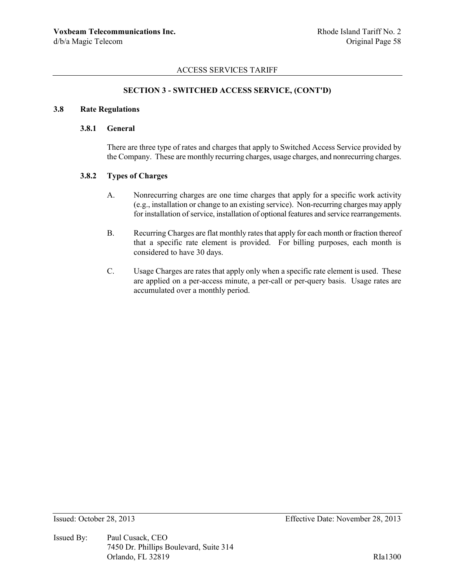## **SECTION 3 - SWITCHED ACCESS SERVICE, (CONT'D)**

### **3.8 Rate Regulations**

### **3.8.1 General**

There are three type of rates and charges that apply to Switched Access Service provided by the Company. These are monthly recurring charges, usage charges, and nonrecurring charges.

### **3.8.2 Types of Charges**

- A. Nonrecurring charges are one time charges that apply for a specific work activity (e.g., installation or change to an existing service). Non-recurring charges may apply for installation of service, installation of optional features and service rearrangements.
- B. Recurring Charges are flat monthly rates that apply for each month or fraction thereof that a specific rate element is provided. For billing purposes, each month is considered to have 30 days.
- C. Usage Charges are rates that apply only when a specific rate element is used. These are applied on a per-access minute, a per-call or per-query basis. Usage rates are accumulated over a monthly period.

Issued By: Paul Cusack, CEO 7450 Dr. Phillips Boulevard, Suite 314 Orlando, FL 32819 RIa1300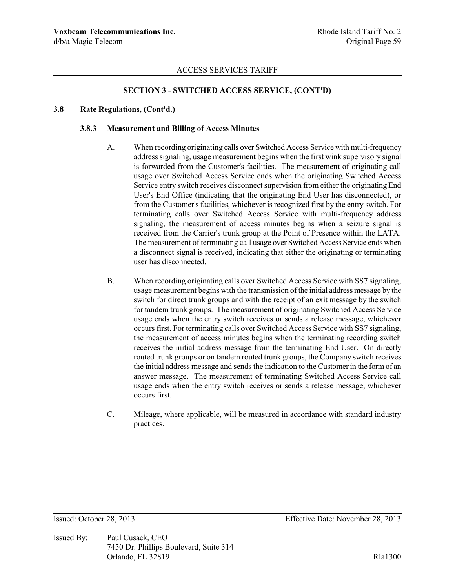## **SECTION 3 - SWITCHED ACCESS SERVICE, (CONT'D)**

#### **3.8 Rate Regulations, (Cont'd.)**

# **3.8.3 Measurement and Billing of Access Minutes**

- A. When recording originating calls over Switched Access Service with multi-frequency address signaling, usage measurement begins when the first wink supervisory signal is forwarded from the Customer's facilities. The measurement of originating call usage over Switched Access Service ends when the originating Switched Access Service entry switch receives disconnect supervision from either the originating End User's End Office (indicating that the originating End User has disconnected), or from the Customer's facilities, whichever is recognized first by the entry switch. For terminating calls over Switched Access Service with multi-frequency address signaling, the measurement of access minutes begins when a seizure signal is received from the Carrier's trunk group at the Point of Presence within the LATA. The measurement of terminating call usage over Switched Access Service ends when a disconnect signal is received, indicating that either the originating or terminating user has disconnected.
- B. When recording originating calls over Switched Access Service with SS7 signaling, usage measurement begins with the transmission of the initial address message by the switch for direct trunk groups and with the receipt of an exit message by the switch for tandem trunk groups. The measurement of originating Switched Access Service usage ends when the entry switch receives or sends a release message, whichever occurs first. For terminating calls over Switched Access Service with SS7 signaling, the measurement of access minutes begins when the terminating recording switch receives the initial address message from the terminating End User. On directly routed trunk groups or on tandem routed trunk groups, the Company switch receives the initial address message and sends the indication to the Customer in the form of an answer message. The measurement of terminating Switched Access Service call usage ends when the entry switch receives or sends a release message, whichever occurs first.
- C. Mileage, where applicable, will be measured in accordance with standard industry practices.

Issued By: Paul Cusack, CEO 7450 Dr. Phillips Boulevard, Suite 314 Orlando, FL 32819 RIa1300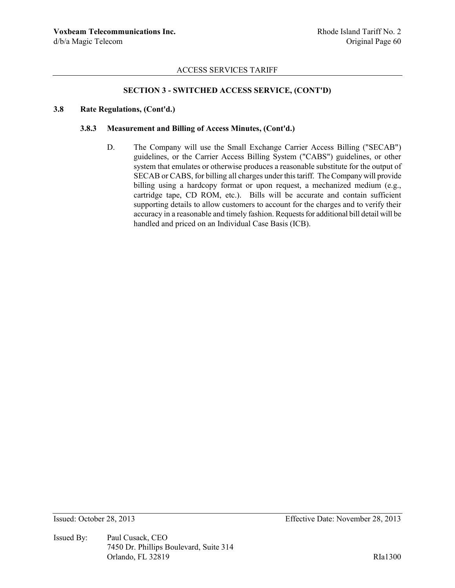# **SECTION 3 - SWITCHED ACCESS SERVICE, (CONT'D)**

#### **3.8 Rate Regulations, (Cont'd.)**

### **3.8.3 Measurement and Billing of Access Minutes, (Cont'd.)**

D. The Company will use the Small Exchange Carrier Access Billing ("SECAB") guidelines, or the Carrier Access Billing System ("CABS") guidelines, or other system that emulates or otherwise produces a reasonable substitute for the output of SECAB or CABS, for billing all charges under this tariff. The Company will provide billing using a hardcopy format or upon request, a mechanized medium (e.g., cartridge tape, CD ROM, etc.). Bills will be accurate and contain sufficient supporting details to allow customers to account for the charges and to verify their accuracy in a reasonable and timely fashion. Requests for additional bill detail will be handled and priced on an Individual Case Basis (ICB).

Issued By: Paul Cusack, CEO 7450 Dr. Phillips Boulevard, Suite 314 Orlando, FL 32819 RIa1300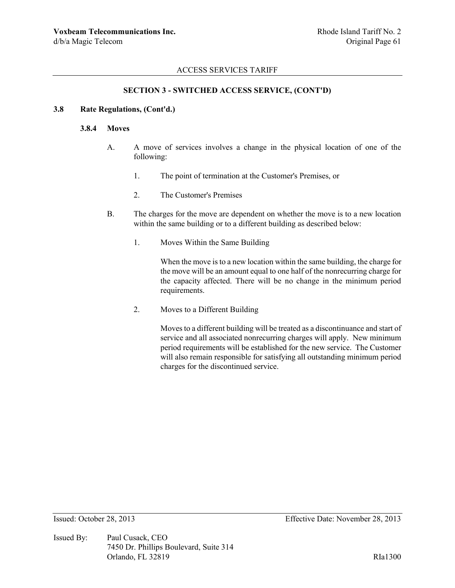## **SECTION 3 - SWITCHED ACCESS SERVICE, (CONT'D)**

#### **3.8 Rate Regulations, (Cont'd.)**

### **3.8.4 Moves**

- A. A move of services involves a change in the physical location of one of the following:
	- 1. The point of termination at the Customer's Premises, or
	- 2. The Customer's Premises
- B. The charges for the move are dependent on whether the move is to a new location within the same building or to a different building as described below:
	- 1. Moves Within the Same Building

When the move is to a new location within the same building, the charge for the move will be an amount equal to one half of the nonrecurring charge for the capacity affected. There will be no change in the minimum period requirements.

2. Moves to a Different Building

Moves to a different building will be treated as a discontinuance and start of service and all associated nonrecurring charges will apply. New minimum period requirements will be established for the new service. The Customer will also remain responsible for satisfying all outstanding minimum period charges for the discontinued service.

Issued By: Paul Cusack, CEO 7450 Dr. Phillips Boulevard, Suite 314 Orlando, FL 32819 RIa1300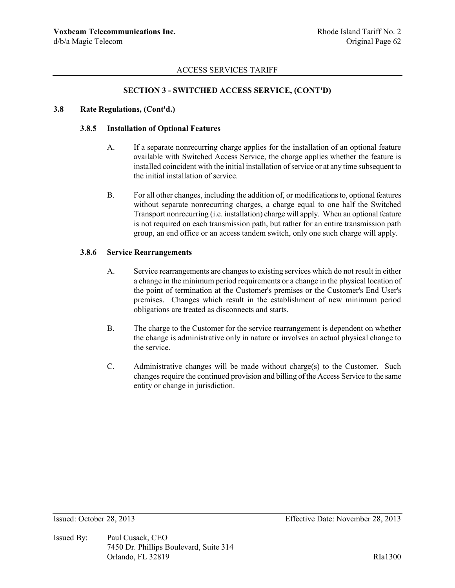### **SECTION 3 - SWITCHED ACCESS SERVICE, (CONT'D)**

#### **3.8 Rate Regulations, (Cont'd.)**

#### **3.8.5 Installation of Optional Features**

- A. If a separate nonrecurring charge applies for the installation of an optional feature available with Switched Access Service, the charge applies whether the feature is installed coincident with the initial installation of service or at any time subsequent to the initial installation of service.
- B. For all other changes, including the addition of, or modifications to, optional features without separate nonrecurring charges, a charge equal to one half the Switched Transport nonrecurring (i.e. installation) charge will apply. When an optional feature is not required on each transmission path, but rather for an entire transmission path group, an end office or an access tandem switch, only one such charge will apply.

#### **3.8.6 Service Rearrangements**

- A. Service rearrangements are changes to existing services which do not result in either a change in the minimum period requirements or a change in the physical location of the point of termination at the Customer's premises or the Customer's End User's premises. Changes which result in the establishment of new minimum period obligations are treated as disconnects and starts.
- B. The charge to the Customer for the service rearrangement is dependent on whether the change is administrative only in nature or involves an actual physical change to the service.
- C. Administrative changes will be made without charge(s) to the Customer. Such changes require the continued provision and billing of the Access Service to the same entity or change in jurisdiction.

Issued By: Paul Cusack, CEO 7450 Dr. Phillips Boulevard, Suite 314 Orlando, FL 32819 RIa1300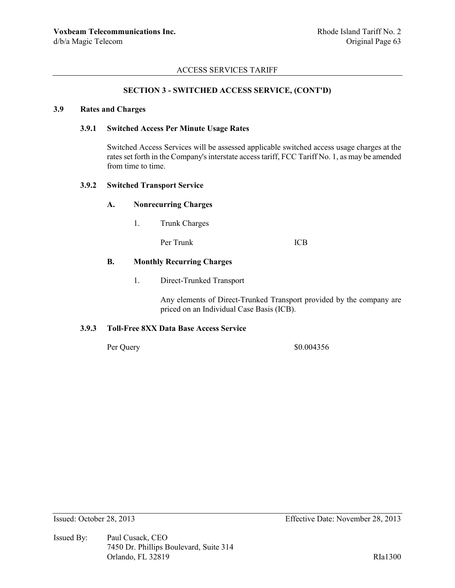## **SECTION 3 - SWITCHED ACCESS SERVICE, (CONT'D)**

### **3.9 Rates and Charges**

### **3.9.1 Switched Access Per Minute Usage Rates**

Switched Access Services will be assessed applicable switched access usage charges at the rates set forth in the Company's interstate access tariff, FCC Tariff No. 1, as may be amended from time to time.

## **3.9.2 Switched Transport Service**

### **A. Nonrecurring Charges**

1. Trunk Charges

Per Trunk ICB

#### **B. Monthly Recurring Charges**

1. Direct-Trunked Transport

Any elements of Direct-Trunked Transport provided by the company are priced on an Individual Case Basis (ICB).

#### **3.9.3 Toll-Free 8XX Data Base Access Service**

Per Query \$0.004356

Issued By: Paul Cusack, CEO 7450 Dr. Phillips Boulevard, Suite 314 Orlando, FL 32819 RIa1300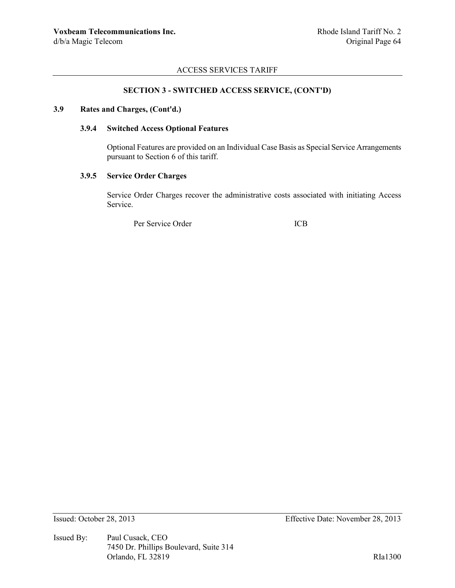## **SECTION 3 - SWITCHED ACCESS SERVICE, (CONT'D)**

### **3.9 Rates and Charges, (Cont'd.)**

### **3.9.4 Switched Access Optional Features**

Optional Features are provided on an Individual Case Basis as Special Service Arrangements pursuant to Section 6 of this tariff.

### **3.9.5 Service Order Charges**

Service Order Charges recover the administrative costs associated with initiating Access Service.

Per Service Order ICB

Issued By: Paul Cusack, CEO 7450 Dr. Phillips Boulevard, Suite 314 Orlando, FL 32819 RIa1300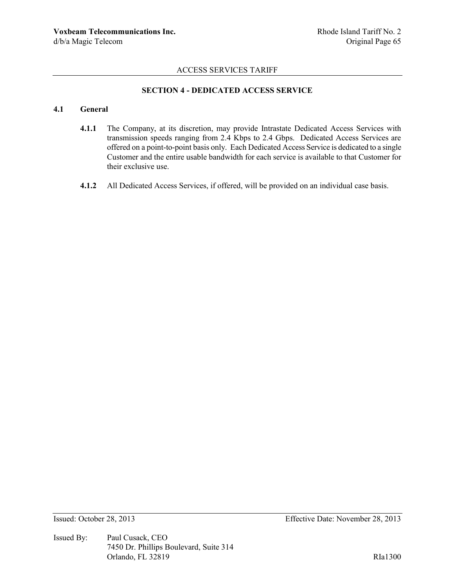# **SECTION 4 - DEDICATED ACCESS SERVICE**

# **4.1 General**

- **4.1.1** The Company, at its discretion, may provide Intrastate Dedicated Access Services with transmission speeds ranging from 2.4 Kbps to 2.4 Gbps. Dedicated Access Services are offered on a point-to-point basis only. Each Dedicated Access Service is dedicated to a single Customer and the entire usable bandwidth for each service is available to that Customer for their exclusive use.
- **4.1.2** All Dedicated Access Services, if offered, will be provided on an individual case basis.

Issued By: Paul Cusack, CEO 7450 Dr. Phillips Boulevard, Suite 314 Orlando, FL 32819 RIa1300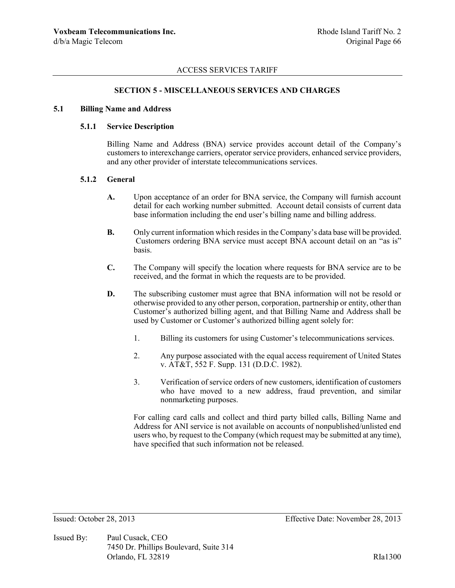### **SECTION 5 - MISCELLANEOUS SERVICES AND CHARGES**

#### **5.1 Billing Name and Address**

## **5.1.1 Service Description**

Billing Name and Address (BNA) service provides account detail of the Company's customers to interexchange carriers, operator service providers, enhanced service providers, and any other provider of interstate telecommunications services.

#### **5.1.2 General**

- **A.** Upon acceptance of an order for BNA service, the Company will furnish account detail for each working number submitted. Account detail consists of current data base information including the end user's billing name and billing address.
- **B.** Only current information which resides in the Company's data base will be provided. Customers ordering BNA service must accept BNA account detail on an "as is" basis.
- **C.** The Company will specify the location where requests for BNA service are to be received, and the format in which the requests are to be provided.
- **D.** The subscribing customer must agree that BNA information will not be resold or otherwise provided to any other person, corporation, partnership or entity, other than Customer's authorized billing agent, and that Billing Name and Address shall be used by Customer or Customer's authorized billing agent solely for:
	- 1. Billing its customers for using Customer's telecommunications services.
	- 2. Any purpose associated with the equal access requirement of United States v. AT&T, 552 F. Supp. 131 (D.D.C. 1982).
	- 3. Verification of service orders of new customers, identification of customers who have moved to a new address, fraud prevention, and similar nonmarketing purposes.

For calling card calls and collect and third party billed calls, Billing Name and Address for ANI service is not available on accounts of nonpublished/unlisted end users who, by request to the Company (which request may be submitted at any time), have specified that such information not be released.

Issued By: Paul Cusack, CEO 7450 Dr. Phillips Boulevard, Suite 314 Orlando, FL 32819 RIa1300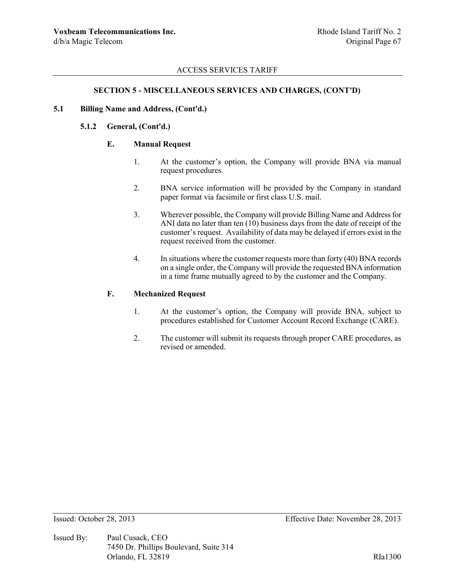### **SECTION 5 - MISCELLANEOUS SERVICES AND CHARGES, (CONT'D)**

#### **5.1 Billing Name and Address, (Cont'd.)**

## **5.1.2 General, (Cont'd.)**

## **E. Manual Request**

- 1. At the customer's option, the Company will provide BNA via manual request procedures.
- 2. BNA service information will be provided by the Company in standard paper format via facsimile or first class U.S. mail.
- 3. Wherever possible, the Company will provide Billing Name and Address for ANI data no later than ten (10) business days from the date of receipt of the customer's request. Availability of data may be delayed if errors exist in the request received from the customer.
- 4. In situations where the customer requests more than forty (40) BNA records on a single order, the Company will provide the requested BNA information in a time frame mutually agreed to by the customer and the Company.

# **F. Mechanized Request**

- 1. At the customer's option, the Company will provide BNA, subject to procedures established for Customer Account Record Exchange (CARE).
- 2. The customer will submit its requests through proper CARE procedures, as revised or amended.

Issued By: Paul Cusack, CEO 7450 Dr. Phillips Boulevard, Suite 314 Orlando, FL 32819 RIa1300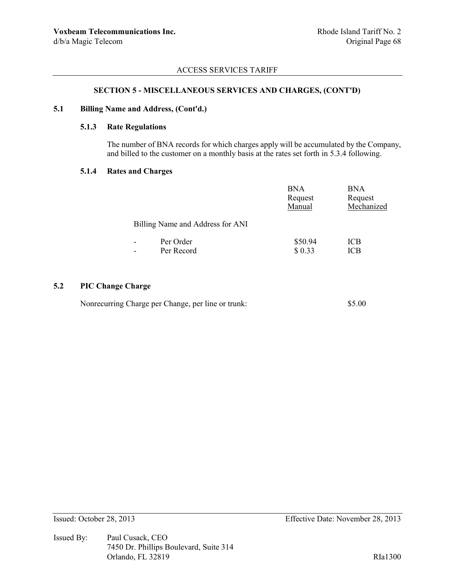# **SECTION 5 - MISCELLANEOUS SERVICES AND CHARGES, (CONT'D)**

### **5.1 Billing Name and Address, (Cont'd.)**

# **5.1.3 Rate Regulations**

The number of BNA records for which charges apply will be accumulated by the Company, and billed to the customer on a monthly basis at the rates set forth in 5.3.4 following.

#### **5.1.4 Rates and Charges**

|                                  | <b>BNA</b><br>Request<br>Manual | <b>BNA</b><br>Request<br>Mechanized |
|----------------------------------|---------------------------------|-------------------------------------|
| Billing Name and Address for ANI |                                 |                                     |
| Per Order                        | \$50.94                         | ICB                                 |
| Per Record                       | \$0.33                          | ICB                                 |
|                                  |                                 |                                     |

# **5.2 PIC Change Charge**

| Nonrecurring Charge per Change, per line or trunk: | \$5.00 |
|----------------------------------------------------|--------|
|----------------------------------------------------|--------|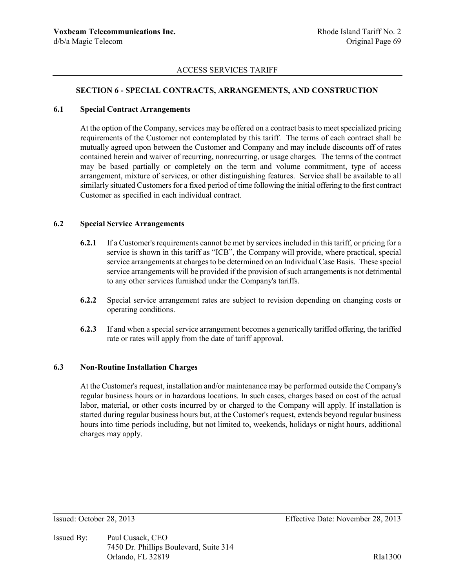### **SECTION 6 - SPECIAL CONTRACTS, ARRANGEMENTS, AND CONSTRUCTION**

#### **6.1 Special Contract Arrangements**

At the option of the Company, services may be offered on a contract basis to meet specialized pricing requirements of the Customer not contemplated by this tariff. The terms of each contract shall be mutually agreed upon between the Customer and Company and may include discounts off of rates contained herein and waiver of recurring, nonrecurring, or usage charges. The terms of the contract may be based partially or completely on the term and volume commitment, type of access arrangement, mixture of services, or other distinguishing features. Service shall be available to all similarly situated Customers for a fixed period of time following the initial offering to the first contract Customer as specified in each individual contract.

#### **6.2 Special Service Arrangements**

- **6.2.1** If a Customer's requirements cannot be met by services included in this tariff, or pricing for a service is shown in this tariff as "ICB", the Company will provide, where practical, special service arrangements at charges to be determined on an Individual Case Basis. These special service arrangements will be provided if the provision of such arrangements is not detrimental to any other services furnished under the Company's tariffs.
- **6.2.2** Special service arrangement rates are subject to revision depending on changing costs or operating conditions.
- **6.2.3** If and when a special service arrangement becomes a generically tariffed offering, the tariffed rate or rates will apply from the date of tariff approval.

### **6.3 Non-Routine Installation Charges**

At the Customer's request, installation and/or maintenance may be performed outside the Company's regular business hours or in hazardous locations. In such cases, charges based on cost of the actual labor, material, or other costs incurred by or charged to the Company will apply. If installation is started during regular business hours but, at the Customer's request, extends beyond regular business hours into time periods including, but not limited to, weekends, holidays or night hours, additional charges may apply.

Issued By: Paul Cusack, CEO 7450 Dr. Phillips Boulevard, Suite 314 Orlando, FL 32819 RIa1300